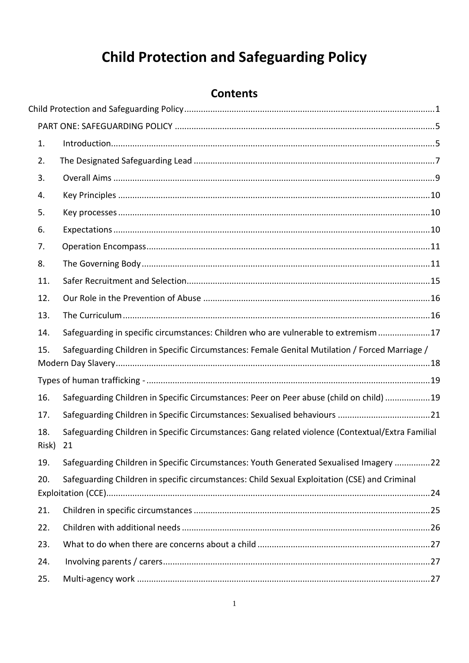# **Child Protection and Safeguarding Policy**

## **Contents**

<span id="page-0-0"></span>

| 1.           |                                                                                                         |
|--------------|---------------------------------------------------------------------------------------------------------|
| 2.           |                                                                                                         |
| 3.           |                                                                                                         |
| 4.           |                                                                                                         |
| 5.           |                                                                                                         |
| 6.           |                                                                                                         |
| 7.           |                                                                                                         |
| 8.           |                                                                                                         |
| 11.          |                                                                                                         |
| 12.          |                                                                                                         |
| 13.          |                                                                                                         |
| 14.          | Safeguarding in specific circumstances: Children who are vulnerable to extremism17                      |
| 15.          | Safeguarding Children in Specific Circumstances: Female Genital Mutilation / Forced Marriage /          |
|              |                                                                                                         |
|              |                                                                                                         |
| 16.          | Safeguarding Children in Specific Circumstances: Peer on Peer abuse (child on child) 19                 |
| 17.          |                                                                                                         |
| 18.<br>Risk) | Safeguarding Children in Specific Circumstances: Gang related violence (Contextual/Extra Familial<br>21 |
| 19.          | Safeguarding Children in Specific Circumstances: Youth Generated Sexualised Imagery 22                  |
| 20.          | Safeguarding Children in specific circumstances: Child Sexual Exploitation (CSE) and Criminal           |
| 21.          |                                                                                                         |
| 22.          |                                                                                                         |
| 23.          |                                                                                                         |
| 24.          |                                                                                                         |
| 25.          |                                                                                                         |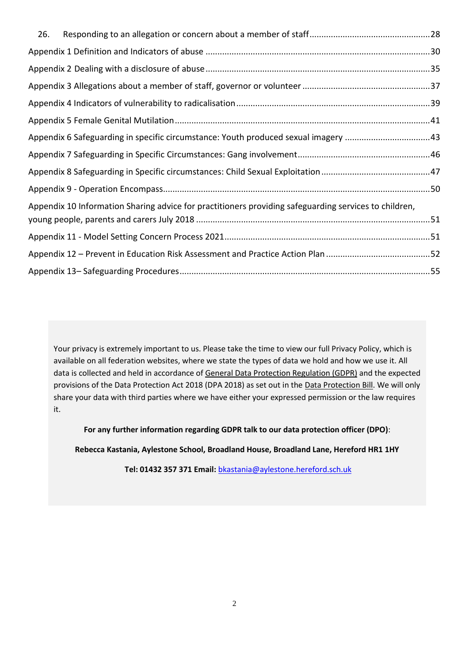| 26. |                                                                                                       |  |
|-----|-------------------------------------------------------------------------------------------------------|--|
|     |                                                                                                       |  |
|     |                                                                                                       |  |
|     |                                                                                                       |  |
|     |                                                                                                       |  |
|     |                                                                                                       |  |
|     | Appendix 6 Safeguarding in specific circumstance: Youth produced sexual imagery 43                    |  |
|     |                                                                                                       |  |
|     |                                                                                                       |  |
|     |                                                                                                       |  |
|     | Appendix 10 Information Sharing advice for practitioners providing safeguarding services to children, |  |
|     |                                                                                                       |  |
|     |                                                                                                       |  |
|     |                                                                                                       |  |

Your privacy is extremely important to us. Please take the time to view our full Privacy Policy, which is available on all federation websites, where we state the types of data we hold and how we use it. All data is collected and held in accordance o[f General Data Protection Regulation \(GDPR\)](http://data.consilium.europa.eu/doc/document/ST-5419-2016-INIT/en/pdf) and the expected provisions of the Data Protection Act 2018 (DPA 2018) as set out in the [Data Protection Bill.](https://publications.parliament.uk/pa/bills/cbill/2017-2019/0153/18153.pdf) We will only share your data with third parties where we have either your expressed permission or the law requires it.

**For any further information regarding GDPR talk to our data protection officer (DPO)**:

**Rebecca Kastania, Aylestone School, Broadland House, Broadland Lane, Hereford HR1 1HY**

**Tel: 01432 357 371 Email:** [bkastania@aylestone.hereford.sch.uk](mailto:bkastania@aylestone.hereford.sch.uk)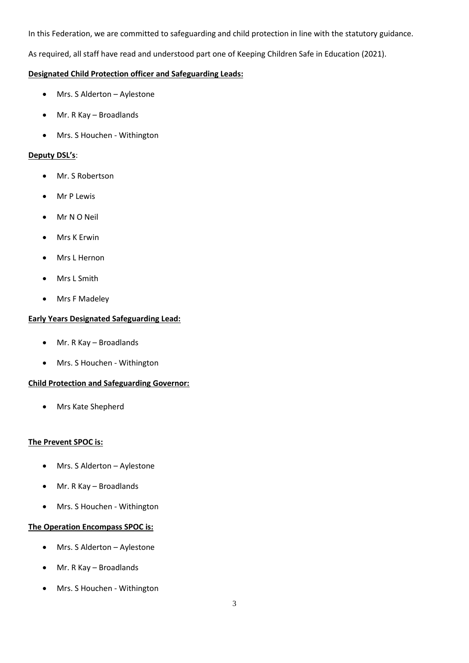In this Federation, we are committed to safeguarding and child protection in line with the statutory guidance.

As required, all staff have read and understood part one of Keeping Children Safe in Education (2021).

## **Designated Child Protection officer and Safeguarding Leads:**

- Mrs. S Alderton Aylestone
- Mr. R Kay Broadlands
- Mrs. S Houchen Withington

## **Deputy DSL's**:

- Mr. S Robertson
- Mr P Lewis
- Mr N O Neil
- Mrs K Erwin
- Mrs L Hernon
- Mrs L Smith
- Mrs F Madeley

## **Early Years Designated Safeguarding Lead:**

- Mr. R Kay Broadlands
- Mrs. S Houchen Withington

## **Child Protection and Safeguarding Governor:**

• Mrs Kate Shepherd

## **The Prevent SPOC is:**

- Mrs. S Alderton Aylestone
- Mr. R Kay Broadlands
- Mrs. S Houchen Withington

## **The Operation Encompass SPOC is:**

- Mrs. S Alderton Aylestone
- Mr. R Kay Broadlands
- Mrs. S Houchen Withington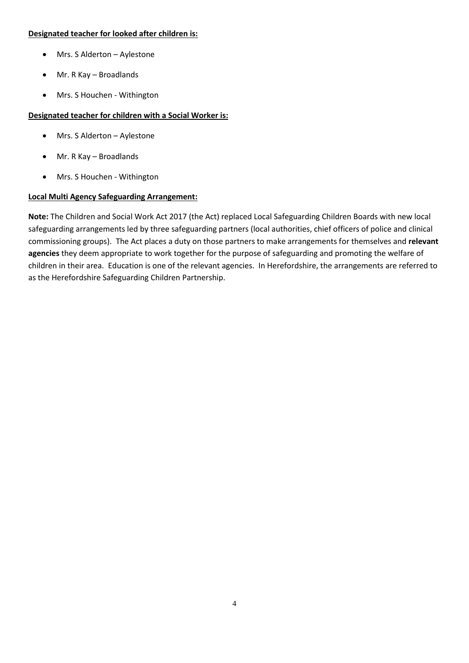#### **Designated teacher for looked after children is:**

- Mrs. S Alderton Aylestone
- Mr. R Kay Broadlands
- Mrs. S Houchen Withington

## **Designated teacher for children with a Social Worker is:**

- Mrs. S Alderton Aylestone
- Mr. R Kay Broadlands
- Mrs. S Houchen Withington

## **Local Multi Agency Safeguarding Arrangement:**

**Note:** The Children and Social Work Act 2017 (the Act) replaced Local Safeguarding Children Boards with new local safeguarding arrangements led by three safeguarding partners (local authorities, chief officers of police and clinical commissioning groups). The Act places a duty on those partners to make arrangements for themselves and **relevant agencies** they deem appropriate to work together for the purpose of safeguarding and promoting the welfare of children in their area. Education is one of the relevant agencies. In Herefordshire, the arrangements are referred to as the Herefordshire Safeguarding Children Partnership.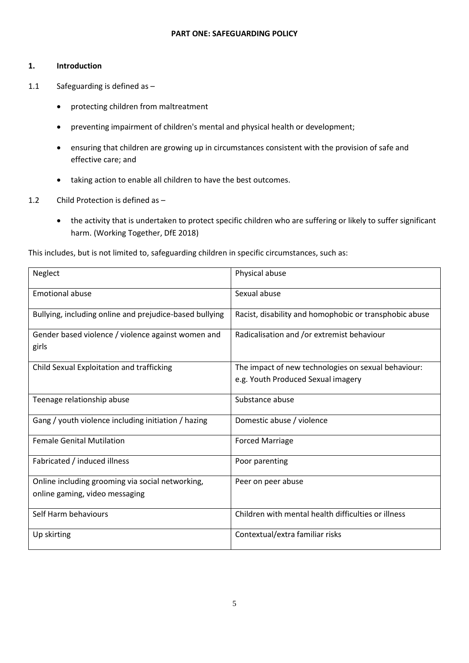#### **PART ONE: SAFEGUARDING POLICY**

#### <span id="page-4-1"></span><span id="page-4-0"></span>**1. Introduction**

- 1.1 Safeguarding is defined as
	- protecting children from maltreatment
	- preventing impairment of children's mental and physical health or development;
	- ensuring that children are growing up in circumstances consistent with the provision of safe and effective care; and
	- taking action to enable all children to have the best outcomes.
- 1.2 Child Protection is defined as
	- the activity that is undertaken to protect specific children who are suffering or likely to suffer significant harm. (Working Together, DfE 2018)

This includes, but is not limited to, safeguarding children in specific circumstances, such as:

| Neglect                                                                            | Physical abuse                                         |
|------------------------------------------------------------------------------------|--------------------------------------------------------|
| <b>Emotional abuse</b>                                                             | Sexual abuse                                           |
| Bullying, including online and prejudice-based bullying                            | Racist, disability and homophobic or transphobic abuse |
| Gender based violence / violence against women and<br>girls                        | Radicalisation and /or extremist behaviour             |
| Child Sexual Exploitation and trafficking                                          | The impact of new technologies on sexual behaviour:    |
|                                                                                    | e.g. Youth Produced Sexual imagery                     |
| Teenage relationship abuse                                                         | Substance abuse                                        |
| Gang / youth violence including initiation / hazing                                | Domestic abuse / violence                              |
| <b>Female Genital Mutilation</b>                                                   | <b>Forced Marriage</b>                                 |
| Fabricated / induced illness                                                       | Poor parenting                                         |
| Online including grooming via social networking,<br>online gaming, video messaging | Peer on peer abuse                                     |
| Self Harm behaviours                                                               | Children with mental health difficulties or illness    |
| Up skirting                                                                        | Contextual/extra familiar risks                        |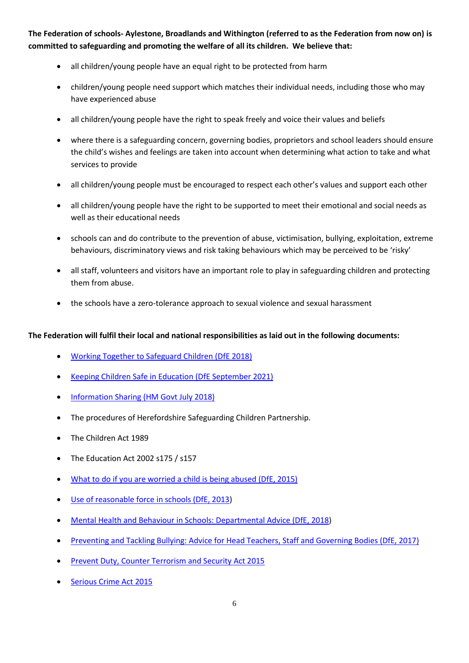**The Federation of schools- Aylestone, Broadlands and Withington (referred to as the Federation from now on) is committed to safeguarding and promoting the welfare of all its children. We believe that:**

- all children/young people have an equal right to be protected from harm
- children/young people need support which matches their individual needs, including those who may have experienced abuse
- all children/young people have the right to speak freely and voice their values and beliefs
- where there is a safeguarding concern, governing bodies, proprietors and school leaders should ensure the child's wishes and feelings are taken into account when determining what action to take and what services to provide
- all children/young people must be encouraged to respect each other's values and support each other
- all children/young people have the right to be supported to meet their emotional and social needs as well as their educational needs
- schools can and do contribute to the prevention of abuse, victimisation, bullying, exploitation, extreme behaviours, discriminatory views and risk taking behaviours which may be perceived to be 'risky'
- all staff, volunteers and visitors have an important role to play in safeguarding children and protecting them from abuse.
- the schools have a zero-tolerance approach to sexual violence and sexual harassment

## **The Federation will fulfil their local and national responsibilities as laid out in the following documents:**

- [Working Together to Safeguard Children](https://assets.publishing.service.gov.uk/government/uploads/system/uploads/attachment_data/file/779401/Working_Together_to_Safeguard-Children.pdf) (DfE 2018)
- [Keeping Children Safe in Education](https://assets.publishing.service.gov.uk/government/uploads/system/uploads/attachment_data/file/999348/Keeping_children_safe_in_education_2021.pdf) (DfE September 2021)
- [Information Sharing \(HM Govt July 2018\)](https://assets.publishing.service.gov.uk/government/uploads/system/uploads/attachment_data/file/721581/Information_sharing_advice_practitioners_safeguarding_services.pdf)
- The procedures of Herefordshire Safeguarding Children Partnership.
- [The Children Act 1989](http://www.legislation.gov.uk/ukpga/1989/41/contents)
- [The Education Act 2002](http://www.legislation.gov.uk/ukpga/2002/32/contents) s175 / s157
- [What to do if you are worried a child is being abused \(DfE, 2015\)](https://assets.publishing.service.gov.uk/government/uploads/system/uploads/attachment_data/file/419604/What_to_do_if_you_re_worried_a_child_is_being_abused.pdf)
- [Use of reasonable force in schools \(DfE, 2013\)](https://www.gov.uk/government/publications/use-of-reasonable-force-in-schools)
- [Mental Health and Behaviour in Schools: Departmental Advice \(DfE,](https://assets.publishing.service.gov.uk/government/uploads/system/uploads/attachment_data/file/755135/Mental_health_and_behaviour_in_schools__.pdf) 2018)
- [Preventing and Tackling Bullying: Advice for Head Teachers, Staff and Governing Bodies \(DfE, 2017\)](https://www.gov.uk/government/publications/preventing-and-tackling-bullying)
- [Prevent Duty, Counter Terrorism and Security Act 2015](https://www.legislation.gov.uk/ukdsi/2015/9780111133309/pdfs/ukdsiod_9780111133309_en.pdf)
- [Serious Crime Act 2015](https://www.legislation.gov.uk/ukpga/2015/9/contents)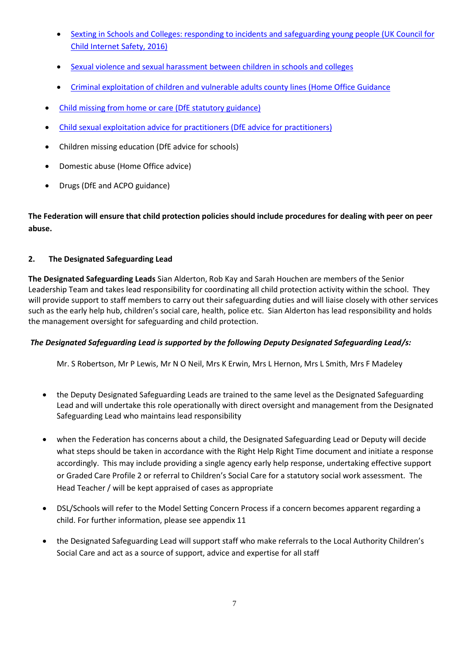- [Sexting in Schools and Colleges: responding to incidents and safeguarding young people](https://www.safeguardinginschools.co.uk/wp-content/uploads/2016/08/Sexting-in-schools-and-colleges-UKCCIS-August-2016.pdf) (UK Council for [Child Internet Safety, 2016\)](https://www.safeguardinginschools.co.uk/wp-content/uploads/2016/08/Sexting-in-schools-and-colleges-UKCCIS-August-2016.pdf)
- Sexual violence and sexual [harassment](https://www.gov.uk/government/publications/sexual-violence-and-sexual-harassment-between-children-in-schools-and-colleges) between children in schools and colleges
- [Criminal exploitation of children and vulnerable adults county lines \(Home Office Guidance](https://assets.publishing.service.gov.uk/government/uploads/system/uploads/attachment_data/file/863323/HOCountyLinesGuidance_-_Sept2018.pdf)
- [Child missing from home or care \(DfE statutory guidance\)](https://assets.publishing.service.gov.uk/government/uploads/system/uploads/attachment_data/file/307867/Statutory_Guidance_-_Missing_from_care__3_.pdf)
- [Child sexual exploitation advice for practitioners \(DfE advice for practitioners\)](https://assets.publishing.service.gov.uk/government/uploads/system/uploads/attachment_data/file/591903/CSE_Guidance_Core_Document_13.02.2017.pdf)
- Children missing education (DfE advice for schools)
- Domestic abuse (Home Office advice)
- Drugs (DfE and ACPO guidance)

**The Federation will ensure that child protection policies should include procedures for dealing with peer on peer abuse.**

## <span id="page-6-0"></span>**2. The Designated Safeguarding Lead**

**The Designated Safeguarding Leads** Sian Alderton, Rob Kay and Sarah Houchen are members of the Senior Leadership Team and takes lead responsibility for coordinating all child protection activity within the school. They will provide support to staff members to carry out their safeguarding duties and will liaise closely with other services such as the early help hub, children's social care, health, police etc. Sian Alderton has lead responsibility and holds the management oversight for safeguarding and child protection.

## *The Designated Safeguarding Lead is supported by the following Deputy Designated Safeguarding Lead/s:*

Mr. S Robertson, Mr P Lewis, Mr N O Neil, Mrs K Erwin, Mrs L Hernon, Mrs L Smith, Mrs F Madeley

- the Deputy Designated Safeguarding Leads are trained to the same level as the Designated Safeguarding Lead and will undertake this role operationally with direct oversight and management from the Designated Safeguarding Lead who maintains lead responsibility
- when the Federation has concerns about a child, the Designated Safeguarding Lead or Deputy will decide what steps should be taken in accordance with the Right Help Right Time document and initiate a response accordingly. This may include providing a single agency early help response, undertaking effective support or Graded Care Profile 2 or referral to Children's Social Care for a statutory social work assessment. The Head Teacher / will be kept appraised of cases as appropriate
- DSL/Schools will refer to the Model Setting Concern Process if a concern becomes apparent regarding a child. For further information, please see appendix 11
- the Designated Safeguarding Lead will support staff who make referrals to the Local Authority Children's Social Care and act as a source of support, advice and expertise for all staff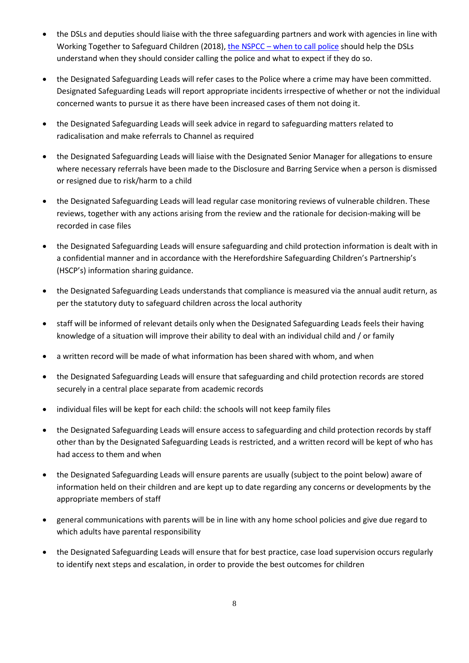- the DSLs and deputies should liaise with the three safeguarding partners and work with agencies in line with Working Together to Safeguard Children (2018), the NSPCC - [when to call police](https://www.npcc.police.uk/documents/Children%20and%20Young%20people/When%20to%20call%20the%20police%20guidance%20for%20schools%20and%20colleges.pdf) should help the DSLs understand when they should consider calling the police and what to expect if they do so.
- the Designated Safeguarding Leads will refer cases to the Police where a crime may have been committed. Designated Safeguarding Leads will report appropriate incidents irrespective of whether or not the individual concerned wants to pursue it as there have been increased cases of them not doing it.
- the Designated Safeguarding Leads will seek advice in regard to safeguarding matters related to radicalisation and make referrals to Channel as required
- the Designated Safeguarding Leads will liaise with the Designated Senior Manager for allegations to ensure where necessary referrals have been made to the Disclosure and Barring Service when a person is dismissed or resigned due to risk/harm to a child
- the Designated Safeguarding Leads will lead regular case monitoring reviews of vulnerable children. These reviews, together with any actions arising from the review and the rationale for decision-making will be recorded in case files
- the Designated Safeguarding Leads will ensure safeguarding and child protection information is dealt with in a confidential manner and in accordance with the Herefordshire Safeguarding Children's Partnership's (HSCP's) information sharing guidance.
- the Designated Safeguarding Leads understands that compliance is measured via the annual audit return, as per the statutory duty to safeguard children across the local authority
- staff will be informed of relevant details only when the Designated Safeguarding Leads feels their having knowledge of a situation will improve their ability to deal with an individual child and / or family
- a written record will be made of what information has been shared with whom, and when
- the Designated Safeguarding Leads will ensure that safeguarding and child protection records are stored securely in a central place separate from academic records
- individual files will be kept for each child: the schools will not keep family files
- the Designated Safeguarding Leads will ensure access to safeguarding and child protection records by staff other than by the Designated Safeguarding Leads is restricted, and a written record will be kept of who has had access to them and when
- the Designated Safeguarding Leads will ensure parents are usually (subject to the point below) aware of information held on their children and are kept up to date regarding any concerns or developments by the appropriate members of staff
- general communications with parents will be in line with any home school policies and give due regard to which adults have parental responsibility
- the Designated Safeguarding Leads will ensure that for best practice, case load supervision occurs regularly to identify next steps and escalation, in order to provide the best outcomes for children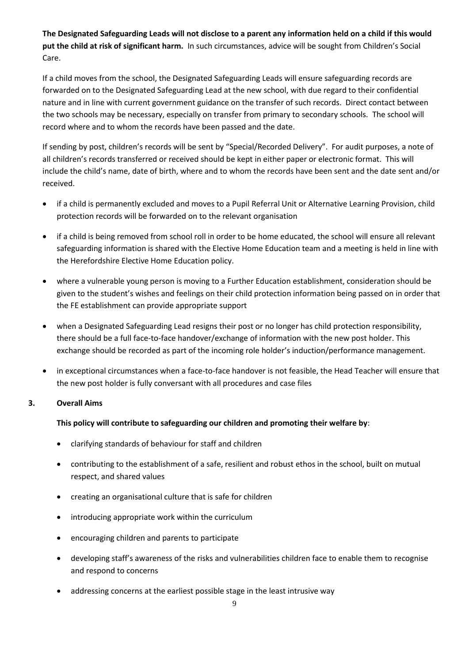**The Designated Safeguarding Leads will not disclose to a parent any information held on a child if this would put the child at risk of significant harm.** In such circumstances, advice will be sought from Children's Social Care.

If a child moves from the school, the Designated Safeguarding Leads will ensure safeguarding records are forwarded on to the Designated Safeguarding Lead at the new school, with due regard to their confidential nature and in line with current government guidance on the transfer of such records. Direct contact between the two schools may be necessary, especially on transfer from primary to secondary schools. The school will record where and to whom the records have been passed and the date.

If sending by post, children's records will be sent by "Special/Recorded Delivery". For audit purposes, a note of all children's records transferred or received should be kept in either paper or electronic format. This will include the child's name, date of birth, where and to whom the records have been sent and the date sent and/or received.

- if a child is permanently excluded and moves to a Pupil Referral Unit or Alternative Learning Provision, child protection records will be forwarded on to the relevant organisation
- if a child is being removed from school roll in order to be home educated, the school will ensure all relevant safeguarding information is shared with the Elective Home Education team and a meeting is held in line with the Herefordshire Elective Home Education policy.
- where a vulnerable young person is moving to a Further Education establishment, consideration should be given to the student's wishes and feelings on their child protection information being passed on in order that the FE establishment can provide appropriate support
- when a Designated Safeguarding Lead resigns their post or no longer has child protection responsibility, there should be a full face-to-face handover/exchange of information with the new post holder. This exchange should be recorded as part of the incoming role holder's induction/performance management.
- in exceptional circumstances when a face-to-face handover is not feasible, the Head Teacher will ensure that the new post holder is fully conversant with all procedures and case files

## <span id="page-8-0"></span>**3. Overall Aims**

## **This policy will contribute to safeguarding our children and promoting their welfare by**:

- clarifying standards of behaviour for staff and children
- contributing to the establishment of a safe, resilient and robust ethos in the school, built on mutual respect, and shared values
- creating an organisational culture that is safe for children
- introducing appropriate work within the curriculum
- encouraging children and parents to participate
- developing staff's awareness of the risks and vulnerabilities children face to enable them to recognise and respond to concerns
- addressing concerns at the earliest possible stage in the least intrusive way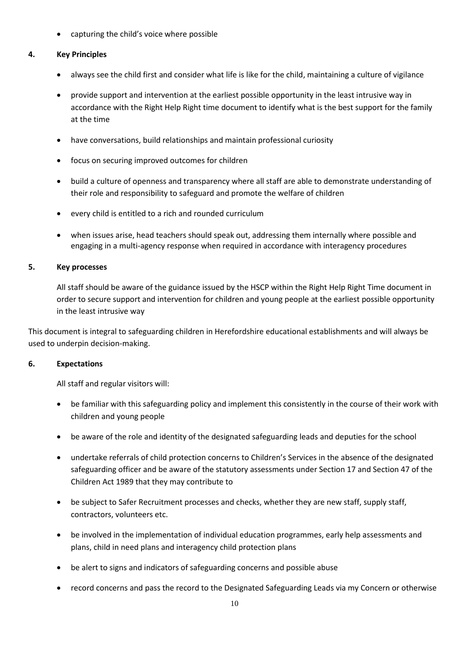• capturing the child's voice where possible

## <span id="page-9-0"></span>**4. Key Principles**

- always see the child first and consider what life is like for the child, maintaining a culture of vigilance
- provide support and intervention at the earliest possible opportunity in the least intrusive way in accordance with the Right Help Right time document to identify what is the best support for the family at the time
- have conversations, build relationships and maintain professional curiosity
- focus on securing improved outcomes for children
- build a culture of openness and transparency where all staff are able to demonstrate understanding of their role and responsibility to safeguard and promote the welfare of children
- every child is entitled to a rich and rounded curriculum
- when issues arise, head teachers should speak out, addressing them internally where possible and engaging in a multi-agency response when required in accordance with interagency procedures

#### <span id="page-9-1"></span>**5. Key processes**

All staff should be aware of the guidance issued by the HSCP within the Right Help Right Time document in order to secure support and intervention for children and young people at the earliest possible opportunity in the least intrusive way

This document is integral to safeguarding children in Herefordshire educational establishments and will always be used to underpin decision-making.

#### <span id="page-9-2"></span>**6. Expectations**

All staff and regular visitors will:

- be familiar with this safeguarding policy and implement this consistently in the course of their work with children and young people
- be aware of the role and identity of the designated safeguarding leads and deputies for the school
- undertake referrals of child protection concerns to Children's Services in the absence of the designated safeguarding officer and be aware of the statutory assessments under Section 17 and Section 47 of the Children Act 1989 that they may contribute to
- be subject to Safer Recruitment processes and checks, whether they are new staff, supply staff, contractors, volunteers etc.
- be involved in the implementation of individual education programmes, early help assessments and plans, child in need plans and interagency child protection plans
- be alert to signs and indicators of safeguarding concerns and possible abuse
- record concerns and pass the record to the Designated Safeguarding Leads via my Concern or otherwise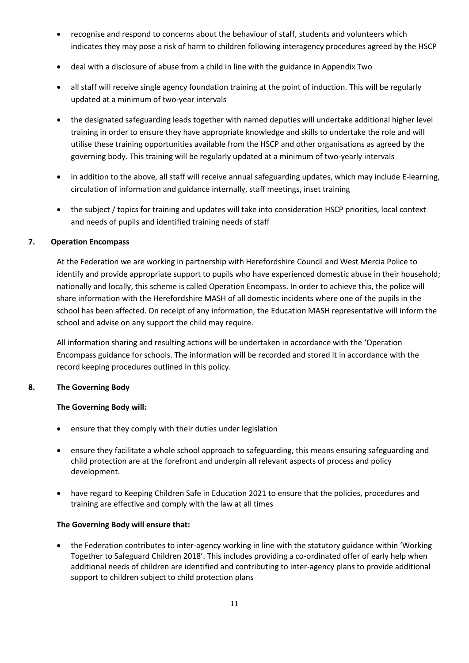- recognise and respond to concerns about the behaviour of staff, students and volunteers which indicates they may pose a risk of harm to children following interagency procedures agreed by the HSCP
- deal with a disclosure of abuse from a child in line with the guidance in Appendix Two
- all staff will receive single agency foundation training at the point of induction. This will be regularly updated at a minimum of two-year intervals
- the designated safeguarding leads together with named deputies will undertake additional higher level training in order to ensure they have appropriate knowledge and skills to undertake the role and will utilise these training opportunities available from the HSCP and other organisations as agreed by the governing body. This training will be regularly updated at a minimum of two-yearly intervals
- in addition to the above, all staff will receive annual safeguarding updates, which may include E-learning, circulation of information and guidance internally, staff meetings, inset training
- the subject / topics for training and updates will take into consideration HSCP priorities, local context and needs of pupils and identified training needs of staff

## <span id="page-10-0"></span>**7. Operation Encompass**

At the Federation we are working in partnership with Herefordshire Council and West Mercia Police to identify and provide appropriate support to pupils who have experienced domestic abuse in their household; nationally and locally, this scheme is called Operation Encompass. In order to achieve this, the police will share information with the Herefordshire MASH of all domestic incidents where one of the pupils in the school has been affected. On receipt of any information, the Education MASH representative will inform the school and advise on any support the child may require.

All information sharing and resulting actions will be undertaken in accordance with the 'Operation Encompass guidance for schools. The information will be recorded and stored it in accordance with the record keeping procedures outlined in this policy.

#### <span id="page-10-1"></span>**8. The Governing Body**

## **The Governing Body will:**

- ensure that they comply with their duties under legislation
- ensure they facilitate a whole school approach to safeguarding, this means ensuring safeguarding and child protection are at the forefront and underpin all relevant aspects of process and policy development.
- have regard to Keeping Children Safe in Education 2021 to ensure that the policies, procedures and training are effective and comply with the law at all times

## **The Governing Body will ensure that:**

• the Federation contributes to inter-agency working in line with the statutory guidance within 'Working Together to Safeguard Children 2018'. This includes providing a co-ordinated offer of early help when additional needs of children are identified and contributing to inter-agency plans to provide additional support to children subject to child protection plans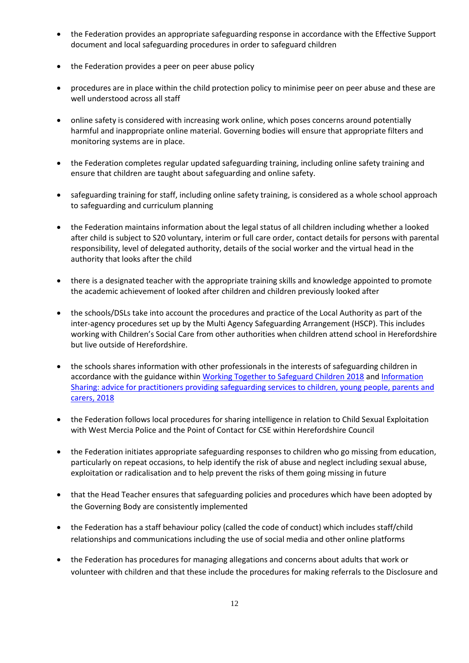- the Federation provides an appropriate safeguarding response in accordance with the Effective Support document and local safeguarding procedures in order to safeguard children
- the Federation provides a peer on peer abuse policy
- procedures are in place within the child protection policy to minimise peer on peer abuse and these are well understood across all staff
- online safety is considered with increasing work online, which poses concerns around potentially harmful and inappropriate online material. Governing bodies will ensure that appropriate filters and monitoring systems are in place.
- the Federation completes regular updated safeguarding training, including online safety training and ensure that children are taught about safeguarding and online safety.
- safeguarding training for staff, including online safety training, is considered as a whole school approach to safeguarding and curriculum planning
- the Federation maintains information about the legal status of all children including whether a looked after child is subject to S20 voluntary, interim or full care order, contact details for persons with parental responsibility, level of delegated authority, details of the social worker and the virtual head in the authority that looks after the child
- there is a designated teacher with the appropriate training skills and knowledge appointed to promote the academic achievement of looked after children and children previously looked after
- the schools/DSLs take into account the procedures and practice of the Local Authority as part of the inter-agency procedures set up by the Multi Agency Safeguarding Arrangement (HSCP). This includes working with Children's Social Care from other authorities when children attend school in Herefordshire but live outside of Herefordshire.
- the schools shares information with other professionals in the interests of safeguarding children in accordance with the guidance within [Working Together to Safeguard Children 2018](https://assets.publishing.service.gov.uk/government/uploads/system/uploads/attachment_data/file/779401/Working_Together_to_Safeguard-Children.pdf) and Information [Sharing: advice for practitioners providing safeguarding services to children, young people, parents and](https://www.gov.uk/government/publications/safeguarding-practitioners-information-sharing-advice)  [carers, 2018](https://www.gov.uk/government/publications/safeguarding-practitioners-information-sharing-advice)
- the Federation follows local procedures for sharing intelligence in relation to Child Sexual Exploitation with West Mercia Police and the Point of Contact for CSE within Herefordshire Council
- the Federation initiates appropriate safeguarding responses to children who go missing from education, particularly on repeat occasions, to help identify the risk of abuse and neglect including sexual abuse, exploitation or radicalisation and to help prevent the risks of them going missing in future
- that the Head Teacher ensures that safeguarding policies and procedures which have been adopted by the Governing Body are consistently implemented
- the Federation has a staff behaviour policy (called the code of conduct) which includes staff/child relationships and communications including the use of social media and other online platforms
- the Federation has procedures for managing allegations and concerns about adults that work or volunteer with children and that these include the procedures for making referrals to the Disclosure and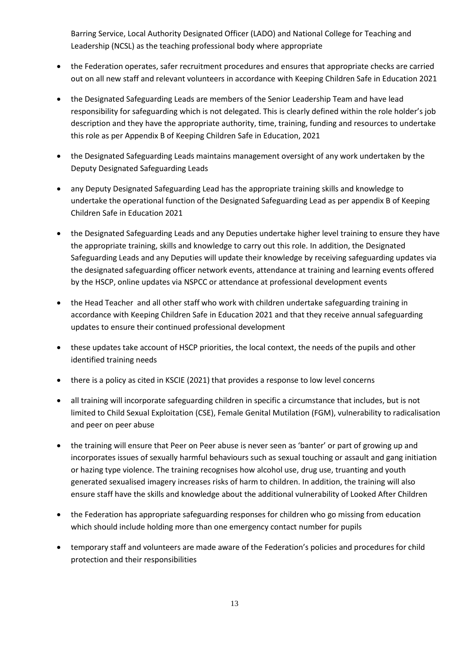Barring Service, Local Authority Designated Officer (LADO) and National College for Teaching and Leadership (NCSL) as the teaching professional body where appropriate

- the Federation operates, safer recruitment procedures and ensures that appropriate checks are carried out on all new staff and relevant volunteers in accordance with Keeping Children Safe in Education 2021
- the Designated Safeguarding Leads are members of the Senior Leadership Team and have lead responsibility for safeguarding which is not delegated. This is clearly defined within the role holder's job description and they have the appropriate authority, time, training, funding and resources to undertake this role as per Appendix B of Keeping Children Safe in Education, 2021
- the Designated Safeguarding Leads maintains management oversight of any work undertaken by the Deputy Designated Safeguarding Leads
- any Deputy Designated Safeguarding Lead has the appropriate training skills and knowledge to undertake the operational function of the Designated Safeguarding Lead as per appendix B of Keeping Children Safe in Education 2021
- the Designated Safeguarding Leads and any Deputies undertake higher level training to ensure they have the appropriate training, skills and knowledge to carry out this role. In addition, the Designated Safeguarding Leads and any Deputies will update their knowledge by receiving safeguarding updates via the designated safeguarding officer network events, attendance at training and learning events offered by the HSCP, online updates via NSPCC or attendance at professional development events
- the Head Teacher and all other staff who work with children undertake safeguarding training in accordance with Keeping Children Safe in Education 2021 and that they receive annual safeguarding updates to ensure their continued professional development
- these updates take account of HSCP priorities, the local context, the needs of the pupils and other identified training needs
- there is a policy as cited in KSCIE (2021) that provides a response to low level concerns
- all training will incorporate safeguarding children in specific a circumstance that includes, but is not limited to Child Sexual Exploitation (CSE), Female Genital Mutilation (FGM), vulnerability to radicalisation and peer on peer abuse
- the training will ensure that Peer on Peer abuse is never seen as 'banter' or part of growing up and incorporates issues of sexually harmful behaviours such as sexual touching or assault and gang initiation or hazing type violence. The training recognises how alcohol use, drug use, truanting and youth generated sexualised imagery increases risks of harm to children. In addition, the training will also ensure staff have the skills and knowledge about the additional vulnerability of Looked After Children
- the Federation has appropriate safeguarding responses for children who go missing from education which should include holding more than one emergency contact number for pupils
- temporary staff and volunteers are made aware of the Federation's policies and procedures for child protection and their responsibilities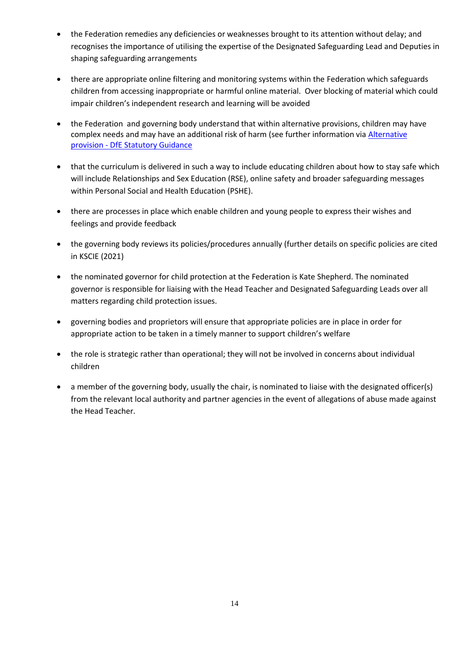- the Federation remedies any deficiencies or weaknesses brought to its attention without delay; and recognises the importance of utilising the expertise of the Designated Safeguarding Lead and Deputies in shaping safeguarding arrangements
- there are appropriate online filtering and monitoring systems within the Federation which safeguards children from accessing inappropriate or harmful online material. Over blocking of material which could impair children's independent research and learning will be avoided
- the Federation and governing body understand that within alternative provisions, children may have complex needs and may have an additional risk of harm (see further information via [Alternative](https://assets.publishing.service.gov.uk/government/uploads/system/uploads/attachment_data/file/942014/alternative_provision_statutory_guidance_accessible.pdf)  provision - [DfE Statutory Guidance](https://assets.publishing.service.gov.uk/government/uploads/system/uploads/attachment_data/file/942014/alternative_provision_statutory_guidance_accessible.pdf)
- that the curriculum is delivered in such a way to include educating children about how to stay safe which will include Relationships and Sex Education (RSE), online safety and broader safeguarding messages within Personal Social and Health Education (PSHE).
- there are processes in place which enable children and young people to express their wishes and feelings and provide feedback
- the governing body reviews its policies/procedures annually (further details on specific policies are cited in KSCIE (2021)
- the nominated governor for child protection at the Federation is Kate Shepherd. The nominated governor is responsible for liaising with the Head Teacher and Designated Safeguarding Leads over all matters regarding child protection issues.
- governing bodies and proprietors will ensure that appropriate policies are in place in order for appropriate action to be taken in a timely manner to support children's welfare
- the role is strategic rather than operational; they will not be involved in concerns about individual children
- a member of the governing body, usually the chair, is nominated to liaise with the designated officer(s) from the relevant local authority and partner agencies in the event of allegations of abuse made against the Head Teacher.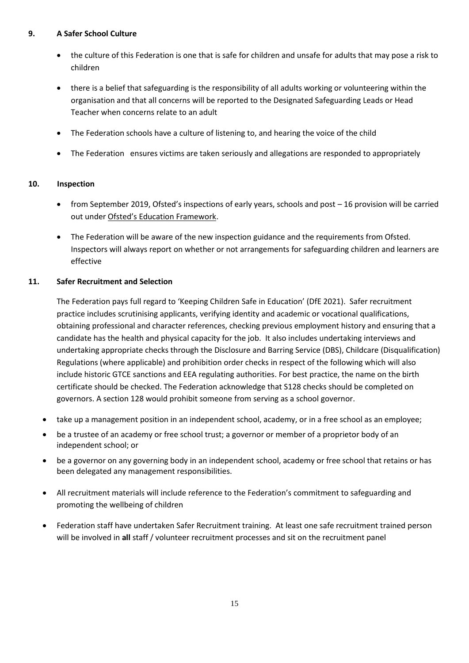## **9. A Safer School Culture**

- the culture of this Federation is one that is safe for children and unsafe for adults that may pose a risk to children
- there is a belief that safeguarding is the responsibility of all adults working or volunteering within the organisation and that all concerns will be reported to the Designated Safeguarding Leads or Head Teacher when concerns relate to an adult
- The Federation schools have a culture of listening to, and hearing the voice of the child
- The Federation ensures victims are taken seriously and allegations are responded to appropriately

#### **10. Inspection**

- from September 2019, Ofsted's inspections of early years, schools and post 16 provision will be carried out under [Ofsted's Education Framework](https://assets.publishing.service.gov.uk/government/uploads/system/uploads/attachment_data/file/801429/Education_inspection_framework.pdf).
- The Federation will be aware of the new inspection guidance and the requirements from Ofsted. Inspectors will always report on whether or not arrangements for safeguarding children and learners are effective

#### <span id="page-14-0"></span>**11. Safer Recruitment and Selection**

The Federation pays full regard to 'Keeping Children Safe in Education' (DfE 2021). Safer recruitment practice includes scrutinising applicants, verifying identity and academic or vocational qualifications, obtaining professional and character references, checking previous employment history and ensuring that a candidate has the health and physical capacity for the job. It also includes undertaking interviews and undertaking appropriate checks through the Disclosure and Barring Service (DBS), Childcare (Disqualification) Regulations (where applicable) and prohibition order checks in respect of the following which will also include historic GTCE sanctions and EEA regulating authorities. For best practice, the name on the birth certificate should be checked. The Federation acknowledge that S128 checks should be completed on governors. A section 128 would prohibit someone from serving as a school governor.

- take up a management position in an independent school, academy, or in a free school as an employee;
- be a trustee of an academy or free school trust; a governor or member of a proprietor body of an independent school; or
- be a governor on any governing body in an independent school, academy or free school that retains or has been delegated any management responsibilities.
- All recruitment materials will include reference to the Federation's commitment to safeguarding and promoting the wellbeing of children
- Federation staff have undertaken Safer Recruitment training. At least one safe recruitment trained person will be involved in **all** staff / volunteer recruitment processes and sit on the recruitment panel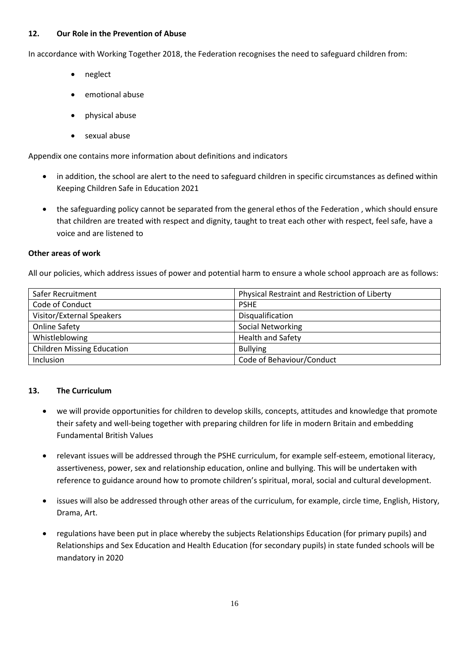#### <span id="page-15-0"></span>**12. Our Role in the Prevention of Abuse**

In accordance with Working Together 2018, the Federation recognises the need to safeguard children from:

- neglect
- emotional abuse
- physical abuse
- sexual abuse

Appendix one contains more information about definitions and indicators

- in addition, the school are alert to the need to safeguard children in specific circumstances as defined within Keeping Children Safe in Education 2021
- the safeguarding policy cannot be separated from the general ethos of the Federation , which should ensure that children are treated with respect and dignity, taught to treat each other with respect, feel safe, have a voice and are listened to

#### **Other areas of work**

All our policies, which address issues of power and potential harm to ensure a whole school approach are as follows:

| Safer Recruitment                 | Physical Restraint and Restriction of Liberty |  |  |  |
|-----------------------------------|-----------------------------------------------|--|--|--|
| Code of Conduct                   | <b>PSHE</b>                                   |  |  |  |
| Visitor/External Speakers         | Disqualification                              |  |  |  |
| <b>Online Safety</b>              | <b>Social Networking</b>                      |  |  |  |
| Whistleblowing                    | <b>Health and Safety</b>                      |  |  |  |
| <b>Children Missing Education</b> | <b>Bullying</b>                               |  |  |  |
| Inclusion                         | Code of Behaviour/Conduct                     |  |  |  |

#### <span id="page-15-1"></span>**13. The Curriculum**

- we will provide opportunities for children to develop skills, concepts, attitudes and knowledge that promote their safety and well-being together with preparing children for life in modern Britain and embedding Fundamental British Values
- relevant issues will be addressed through the PSHE curriculum, for example self-esteem, emotional literacy, assertiveness, power, sex and relationship education, online and bullying. This will be undertaken with reference to guidance around how to promote children's spiritual, moral, social and cultural development.
- issues will also be addressed through other areas of the curriculum, for example, circle time, English, History, Drama, Art.
- regulations have been put in place whereby the subjects Relationships Education (for primary pupils) and Relationships and Sex Education and Health Education (for secondary pupils) in state funded schools will be mandatory in 2020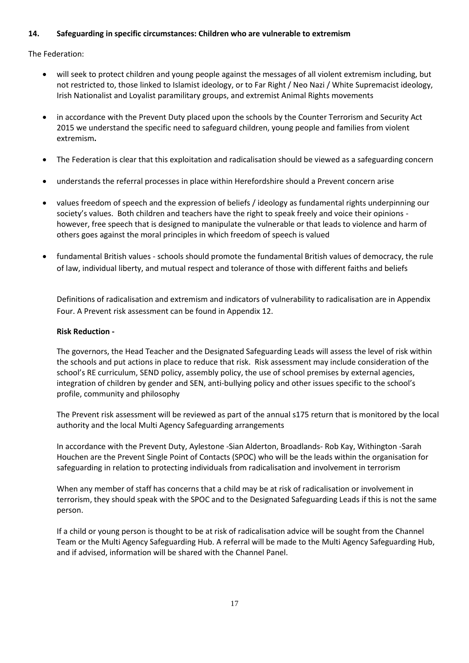### <span id="page-16-0"></span>**14. Safeguarding in specific circumstances: Children who are vulnerable to extremism**

The Federation:

- will seek to protect children and young people against the messages of all violent extremism including, but not restricted to, those linked to Islamist ideology, or to Far Right / Neo Nazi / White Supremacist ideology, Irish Nationalist and Loyalist paramilitary groups, and extremist Animal Rights movements
- in accordance with the Prevent Duty placed upon the schools by the Counter Terrorism and Security Act 2015 we understand the specific need to safeguard children, young people and families from violent extremism**.**
- The Federation is clear that this exploitation and radicalisation should be viewed as a safeguarding concern
- understands the referral processes in place within Herefordshire should a Prevent concern arise
- values freedom of speech and the expression of beliefs / ideology as fundamental rights underpinning our society's values. Both children and teachers have the right to speak freely and voice their opinions however, free speech that is designed to manipulate the vulnerable or that leads to violence and harm of others goes against the moral principles in which freedom of speech is valued
- fundamental British values schools should promote the fundamental British values of democracy, the rule of law, individual liberty, and mutual respect and tolerance of those with different faiths and beliefs

Definitions of radicalisation and extremism and indicators of vulnerability to radicalisation are in Appendix Four. A Prevent risk assessment can be found in Appendix 12.

#### **Risk Reduction -**

The governors, the Head Teacher and the Designated Safeguarding Leads will assess the level of risk within the schools and put actions in place to reduce that risk. Risk assessment may include consideration of the school's RE curriculum, SEND policy, assembly policy, the use of school premises by external agencies, integration of children by gender and SEN, anti-bullying policy and other issues specific to the school's profile, community and philosophy

The Prevent risk assessment will be reviewed as part of the annual s175 return that is monitored by the local authority and the local Multi Agency Safeguarding arrangements

In accordance with the Prevent Duty, Aylestone -Sian Alderton, Broadlands- Rob Kay, Withington -Sarah Houchen are the Prevent Single Point of Contacts (SPOC) who will be the leads within the organisation for safeguarding in relation to protecting individuals from radicalisation and involvement in terrorism

When any member of staff has concerns that a child may be at risk of radicalisation or involvement in terrorism, they should speak with the SPOC and to the Designated Safeguarding Leads if this is not the same person.

If a child or young person is thought to be at risk of radicalisation advice will be sought from the Channel Team or the Multi Agency Safeguarding Hub. A referral will be made to the Multi Agency Safeguarding Hub, and if advised, information will be shared with the Channel Panel.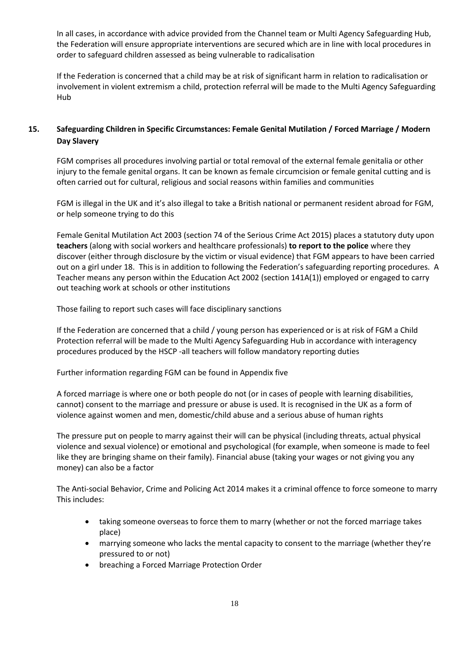In all cases, in accordance with advice provided from the Channel team or Multi Agency Safeguarding Hub, the Federation will ensure appropriate interventions are secured which are in line with local procedures in order to safeguard children assessed as being vulnerable to radicalisation

If the Federation is concerned that a child may be at risk of significant harm in relation to radicalisation or involvement in violent extremism a child, protection referral will be made to the Multi Agency Safeguarding Hub

## <span id="page-17-0"></span>**15. Safeguarding Children in Specific Circumstances: Female Genital Mutilation / Forced Marriage / Modern Day Slavery**

FGM comprises all procedures involving partial or total removal of the external female genitalia or other injury to the female genital organs. It can be known as female circumcision or female genital cutting and is often carried out for cultural, religious and social reasons within families and communities

FGM is illegal in the UK and it's also illegal to take a British national or permanent resident abroad for FGM, or help someone trying to do this

Female Genital Mutilation Act 2003 (section 74 of the Serious Crime Act 2015) places a statutory duty upon **teachers** (along with social workers and healthcare professionals) **to report to the police** where they discover (either through disclosure by the victim or visual evidence) that FGM appears to have been carried out on a girl under 18. This is in addition to following the Federation's safeguarding reporting procedures. A Teacher means any person within the Education Act 2002 (section 141A(1)) employed or engaged to carry out teaching work at schools or other institutions

Those failing to report such cases will face disciplinary sanctions

If the Federation are concerned that a child / young person has experienced or is at risk of FGM a Child Protection referral will be made to the Multi Agency Safeguarding Hub in accordance with interagency procedures produced by the HSCP -all teachers will follow mandatory reporting duties

Further information regarding FGM can be found in Appendix five

A forced marriage is where one or both people do not (or in cases of people with learning disabilities, cannot) consent to the marriage and pressure or abuse is used. It is recognised in the UK as a form of violence against women and men, domestic/child abuse and a serious abuse of human rights

The pressure put on people to marry against their will can be physical (including threats, actual physical violence and sexual violence) or emotional and psychological (for example, when someone is made to feel like they are bringing shame on their family). Financial abuse (taking your wages or not giving you any money) can also be a factor

The Anti-social Behavior, Crime and Policing Act 2014 makes it a criminal offence to force someone to marry This includes:

- taking someone overseas to force them to marry (whether or not the forced marriage takes place)
- marrying someone who lacks the mental capacity to consent to the marriage (whether they're pressured to or not)
- breaching a Forced Marriage Protection Order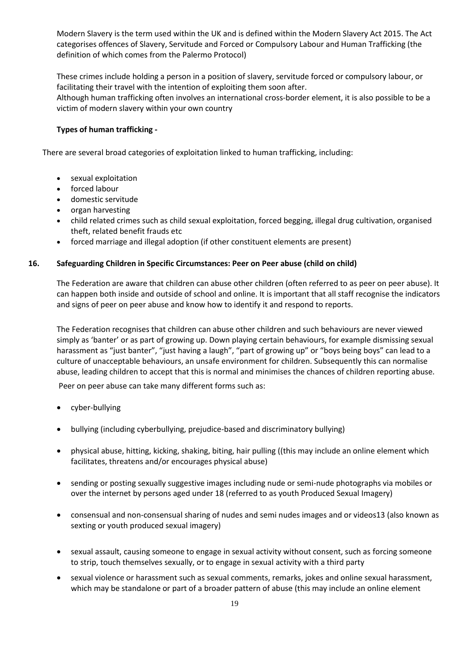Modern Slavery is the term used within the UK and is defined within the Modern Slavery Act 2015. The Act categorises offences of Slavery, Servitude and Forced or Compulsory Labour and Human Trafficking (the definition of which comes from the Palermo Protocol)

These crimes include holding a person in a position of slavery, servitude forced or compulsory labour, or facilitating their travel with the intention of exploiting them soon after.

Although human trafficking often involves an international cross-border element, it is also possible to be a victim of modern slavery within your own country

#### **Types of human trafficking -**

<span id="page-18-0"></span>There are several broad categories of exploitation linked to human trafficking, including:

- sexual exploitation
- forced labour
- domestic servitude
- organ harvesting
- child related crimes such as child sexual exploitation, forced begging, illegal drug cultivation, organised theft, related benefit frauds etc
- forced marriage and illegal adoption (if other constituent elements are present)

#### <span id="page-18-1"></span>**16. Safeguarding Children in Specific Circumstances: Peer on Peer abuse (child on child)**

The Federation are aware that children can abuse other children (often referred to as peer on peer abuse). It can happen both inside and outside of school and online. It is important that all staff recognise the indicators and signs of peer on peer abuse and know how to identify it and respond to reports.

The Federation recognises that children can abuse other children and such behaviours are never viewed simply as 'banter' or as part of growing up. Down playing certain behaviours, for example dismissing sexual harassment as "just banter", "just having a laugh", "part of growing up" or "boys being boys" can lead to a culture of unacceptable behaviours, an unsafe environment for children. Subsequently this can normalise abuse, leading children to accept that this is normal and minimises the chances of children reporting abuse.

Peer on peer abuse can take many different forms such as:

- cyber-bullying
- bullying (including cyberbullying, prejudice-based and discriminatory bullying)
- physical abuse, hitting, kicking, shaking, biting, hair pulling ((this may include an online element which facilitates, threatens and/or encourages physical abuse)
- sending or posting sexually suggestive images including nude or semi-nude photographs via mobiles or over the internet by persons aged under 18 (referred to as youth Produced Sexual Imagery)
- consensual and non-consensual sharing of nudes and semi nudes images and or videos13 (also known as sexting or youth produced sexual imagery)
- sexual assault, causing someone to engage in sexual activity without consent, such as forcing someone to strip, touch themselves sexually, or to engage in sexual activity with a third party
- sexual violence or harassment such as sexual comments, remarks, jokes and online sexual harassment, which may be standalone or part of a broader pattern of abuse (this may include an online element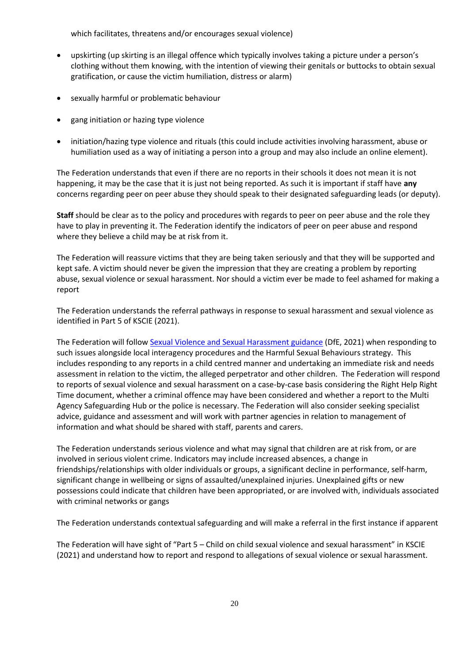which facilitates, threatens and/or encourages sexual violence)

- upskirting (up skirting is an illegal offence which typically involves taking a picture under a person's clothing without them knowing, with the intention of viewing their genitals or buttocks to obtain sexual gratification, or cause the victim humiliation, distress or alarm)
- sexually harmful or problematic behaviour
- gang initiation or hazing type violence
- initiation/hazing type violence and rituals (this could include activities involving harassment, abuse or humiliation used as a way of initiating a person into a group and may also include an online element).

The Federation understands that even if there are no reports in their schools it does not mean it is not happening, it may be the case that it is just not being reported. As such it is important if staff have **any**  concerns regarding peer on peer abuse they should speak to their designated safeguarding leads (or deputy).

**Staff** should be clear as to the policy and procedures with regards to peer on peer abuse and the role they have to play in preventing it. The Federation identify the indicators of peer on peer abuse and respond where they believe a child may be at risk from it.

The Federation will reassure victims that they are being taken seriously and that they will be supported and kept safe. A victim should never be given the impression that they are creating a problem by reporting abuse, sexual violence or sexual harassment. Nor should a victim ever be made to feel ashamed for making a report

The Federation understands the referral pathways in response to sexual harassment and sexual violence as identified in Part 5 of KSCIE (2021).

The Federation will follo[w Sexual Violence and Sexual Harassment guidance](https://www.gov.uk/government/publications/sexual-violence-and-sexual-harassment-between-children-in-schools-and-colleges) (DfE, 2021) when responding to such issues alongside local interagency procedures and the Harmful Sexual Behaviours strategy. This includes responding to any reports in a child centred manner and undertaking an immediate risk and needs assessment in relation to the victim, the alleged perpetrator and other children. The Federation will respond to reports of sexual violence and sexual harassment on a case-by-case basis considering the Right Help Right Time document, whether a criminal offence may have been considered and whether a report to the Multi Agency Safeguarding Hub or the police is necessary. The Federation will also consider seeking specialist advice, guidance and assessment and will work with partner agencies in relation to management of information and what should be shared with staff, parents and carers.

The Federation understands serious violence and what may signal that children are at risk from, or are involved in serious violent crime. Indicators may include increased absences, a change in friendships/relationships with older individuals or groups, a significant decline in performance, self-harm, significant change in wellbeing or signs of assaulted/unexplained injuries. Unexplained gifts or new possessions could indicate that children have been appropriated, or are involved with, individuals associated with criminal networks or gangs

The Federation understands contextual safeguarding and will make a referral in the first instance if apparent

The Federation will have sight of "Part 5 – Child on child sexual violence and sexual harassment" in KSCIE (2021) and understand how to report and respond to allegations of sexual violence or sexual harassment.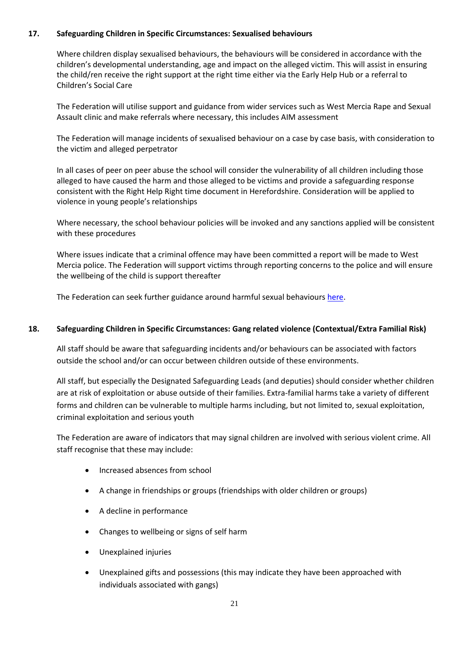#### <span id="page-20-0"></span>**17. Safeguarding Children in Specific Circumstances: Sexualised behaviours**

Where children display sexualised behaviours, the behaviours will be considered in accordance with the children's developmental understanding, age and impact on the alleged victim. This will assist in ensuring the child/ren receive the right support at the right time either via the Early Help Hub or a referral to Children's Social Care

The Federation will utilise support and guidance from wider services such as West Mercia Rape and Sexual Assault clinic and make referrals where necessary, this includes AIM assessment

The Federation will manage incidents of sexualised behaviour on a case by case basis, with consideration to the victim and alleged perpetrator

In all cases of peer on peer abuse the school will consider the vulnerability of all children including those alleged to have caused the harm and those alleged to be victims and provide a safeguarding response consistent with the Right Help Right time document in Herefordshire. Consideration will be applied to violence in young people's relationships

Where necessary, the school behaviour policies will be invoked and any sanctions applied will be consistent with these procedures

Where issues indicate that a criminal offence may have been committed a report will be made to West Mercia police. The Federation will support victims through reporting concerns to the police and will ensure the wellbeing of the child is support thereafter

The Federation can seek further guidance around harmful sexual behaviour[s here.](https://www.gov.uk/government/publications/sexual-violence-and-sexual-harassment-between-children-in-schools-and-colleges)

#### <span id="page-20-1"></span>**18. Safeguarding Children in Specific Circumstances: Gang related violence (Contextual/Extra Familial Risk)**

All staff should be aware that safeguarding incidents and/or behaviours can be associated with factors outside the school and/or can occur between children outside of these environments.

All staff, but especially the Designated Safeguarding Leads (and deputies) should consider whether children are at risk of exploitation or abuse outside of their families. Extra-familial harms take a variety of different forms and children can be vulnerable to multiple harms including, but not limited to, sexual exploitation, criminal exploitation and serious youth

The Federation are aware of indicators that may signal children are involved with serious violent crime. All staff recognise that these may include:

- Increased absences from school
- A change in friendships or groups (friendships with older children or groups)
- A decline in performance
- Changes to wellbeing or signs of self harm
- Unexplained injuries
- Unexplained gifts and possessions (this may indicate they have been approached with individuals associated with gangs)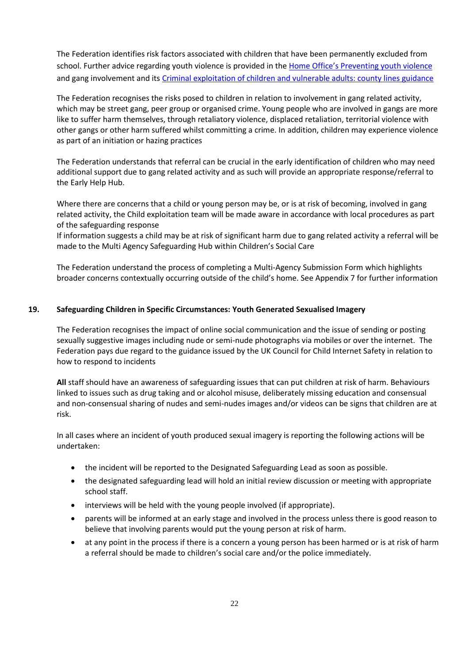The Federation identifies risk factors associated with children that have been permanently excluded from school. Further advice regarding youth violence is provided in the [Home Office's Preventing youth violence](https://www.gov.uk/government/publications/advice-to-schools-and-colleges-on-gangs-and-youth-violence) and gang involvement and its [Criminal exploitation of children and vulnerable adults: county lines guidance](https://www.gov.uk/government/publications/criminal-exploitation-of-children-and-vulnerable-adults-county-lines)

The Federation recognises the risks posed to children in relation to involvement in gang related activity, which may be street gang, peer group or organised crime. Young people who are involved in gangs are more like to suffer harm themselves, through retaliatory violence, displaced retaliation, territorial violence with other gangs or other harm suffered whilst committing a crime. In addition, children may experience violence as part of an initiation or hazing practices

The Federation understands that referral can be crucial in the early identification of children who may need additional support due to gang related activity and as such will provide an appropriate response/referral to the Early Help Hub.

Where there are concerns that a child or young person may be, or is at risk of becoming, involved in gang related activity, the Child exploitation team will be made aware in accordance with local procedures as part of the safeguarding response

If information suggests a child may be at risk of significant harm due to gang related activity a referral will be made to the Multi Agency Safeguarding Hub within Children's Social Care

The Federation understand the process of completing a Multi-Agency Submission Form which highlights broader concerns contextually occurring outside of the child's home. See Appendix 7 for further information

#### <span id="page-21-0"></span>**19. Safeguarding Children in Specific Circumstances: Youth Generated Sexualised Imagery**

The Federation recognises the impact of online social communication and the issue of sending or posting sexually suggestive images including nude or semi-nude photographs via mobiles or over the internet. The Federation pays due regard to the guidance issued by the UK Council for Child Internet Safety in relation to how to respond to incidents

**All** staff should have an awareness of safeguarding issues that can put children at risk of harm. Behaviours linked to issues such as drug taking and or alcohol misuse, deliberately missing education and consensual and non-consensual sharing of nudes and semi-nudes images and/or videos can be signs that children are at risk.

In all cases where an incident of youth produced sexual imagery is reporting the following actions will be undertaken:

- the incident will be reported to the Designated Safeguarding Lead as soon as possible.
- the designated safeguarding lead will hold an initial review discussion or meeting with appropriate school staff.
- interviews will be held with the young people involved (if appropriate).
- parents will be informed at an early stage and involved in the process unless there is good reason to believe that involving parents would put the young person at risk of harm.
- at any point in the process if there is a concern a young person has been harmed or is at risk of harm a referral should be made to children's social care and/or the police immediately.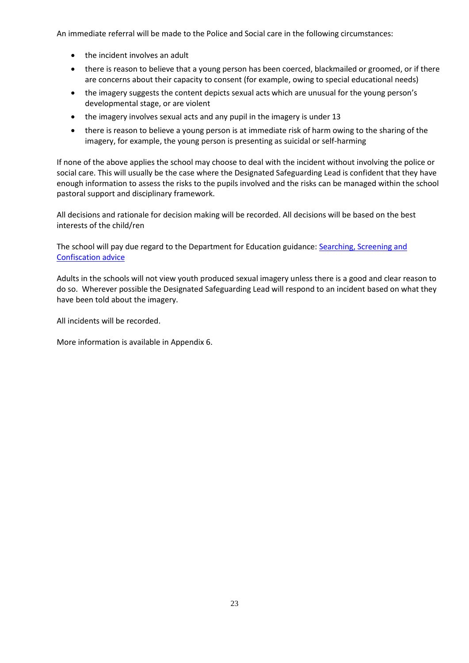An immediate referral will be made to the Police and Social care in the following circumstances:

- the incident involves an adult
- there is reason to believe that a young person has been coerced, blackmailed or groomed, or if there are concerns about their capacity to consent (for example, owing to special educational needs)
- the imagery suggests the content depicts sexual acts which are unusual for the young person's developmental stage, or are violent
- the imagery involves sexual acts and any pupil in the imagery is under 13
- there is reason to believe a young person is at immediate risk of harm owing to the sharing of the imagery, for example, the young person is presenting as suicidal or self-harming

If none of the above applies the school may choose to deal with the incident without involving the police or social care. This will usually be the case where the Designated Safeguarding Lead is confident that they have enough information to assess the risks to the pupils involved and the risks can be managed within the school pastoral support and disciplinary framework.

All decisions and rationale for decision making will be recorded. All decisions will be based on the best interests of the child/ren

The school will pay due regard to the Department for Education guidance: [Searching, Screening and](https://assets.publishing.service.gov.uk/government/uploads/system/uploads/attachment_data/file/674416/Searching_screening_and_confiscation.pdf)  [Confiscation advice](https://assets.publishing.service.gov.uk/government/uploads/system/uploads/attachment_data/file/674416/Searching_screening_and_confiscation.pdf)

Adults in the schools will not view youth produced sexual imagery unless there is a good and clear reason to do so. Wherever possible the Designated Safeguarding Lead will respond to an incident based on what they have been told about the imagery.

All incidents will be recorded.

More information is available in Appendix 6.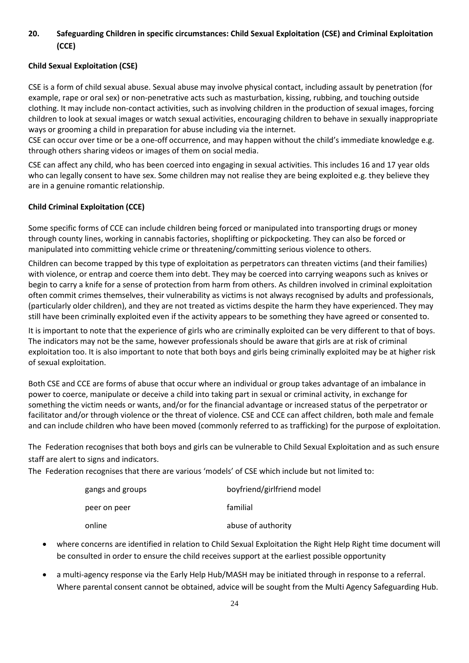## <span id="page-23-0"></span>**20. Safeguarding Children in specific circumstances: Child Sexual Exploitation (CSE) and Criminal Exploitation (CCE)**

## **Child Sexual Exploitation (CSE)**

CSE is a form of child sexual abuse. Sexual abuse may involve physical contact, including assault by penetration (for example, rape or oral sex) or non-penetrative acts such as masturbation, kissing, rubbing, and touching outside clothing. It may include non-contact activities, such as involving children in the production of sexual images, forcing children to look at sexual images or watch sexual activities, encouraging children to behave in sexually inappropriate ways or grooming a child in preparation for abuse including via the internet.

CSE can occur over time or be a one-off occurrence, and may happen without the child's immediate knowledge e.g. through others sharing videos or images of them on social media.

CSE can affect any child, who has been coerced into engaging in sexual activities. This includes 16 and 17 year olds who can legally consent to have sex. Some children may not realise they are being exploited e.g. they believe they are in a genuine romantic relationship.

## **Child Criminal Exploitation (CCE)**

Some specific forms of CCE can include children being forced or manipulated into transporting drugs or money through county lines, working in cannabis factories, shoplifting or pickpocketing. They can also be forced or manipulated into committing vehicle crime or threatening/committing serious violence to others.

Children can become trapped by this type of exploitation as perpetrators can threaten victims (and their families) with violence, or entrap and coerce them into debt. They may be coerced into carrying weapons such as knives or begin to carry a knife for a sense of protection from harm from others. As children involved in criminal exploitation often commit crimes themselves, their vulnerability as victims is not always recognised by adults and professionals, (particularly older children), and they are not treated as victims despite the harm they have experienced. They may still have been criminally exploited even if the activity appears to be something they have agreed or consented to.

It is important to note that the experience of girls who are criminally exploited can be very different to that of boys. The indicators may not be the same, however professionals should be aware that girls are at risk of criminal exploitation too. It is also important to note that both boys and girls being criminally exploited may be at higher risk of sexual exploitation.

Both CSE and CCE are forms of abuse that occur where an individual or group takes advantage of an imbalance in power to coerce, manipulate or deceive a child into taking part in sexual or criminal activity, in exchange for something the victim needs or wants, and/or for the financial advantage or increased status of the perpetrator or facilitator and/or through violence or the threat of violence. CSE and CCE can affect children, both male and female and can include children who have been moved (commonly referred to as trafficking) for the purpose of exploitation.

The Federation recognises that both boys and girls can be vulnerable to Child Sexual Exploitation and as such ensure staff are alert to signs and indicators.

The Federation recognises that there are various 'models' of CSE which include but not limited to:

| gangs and groups | boyfriend/girlfriend model |  |  |  |
|------------------|----------------------------|--|--|--|
| peer on peer     | familial                   |  |  |  |
| online           | abuse of authority         |  |  |  |

- where concerns are identified in relation to Child Sexual Exploitation the Right Help Right time document will be consulted in order to ensure the child receives support at the earliest possible opportunity
- a multi-agency response via the Early Help Hub/MASH may be initiated through in response to a referral. Where parental consent cannot be obtained, advice will be sought from the Multi Agency Safeguarding Hub.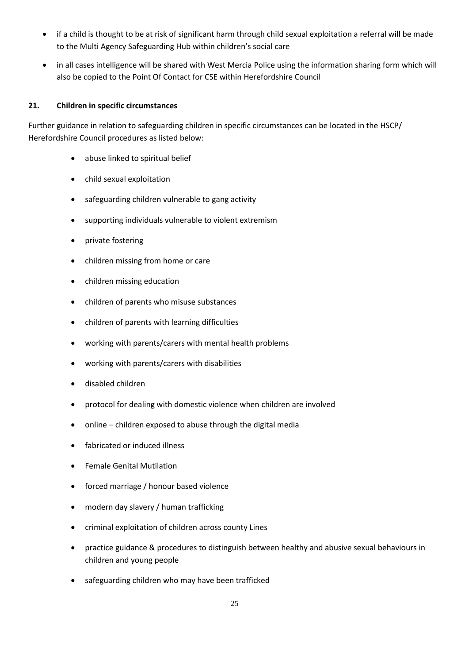- if a child is thought to be at risk of significant harm through child sexual exploitation a referral will be made to the Multi Agency Safeguarding Hub within children's social care
- in all cases intelligence will be shared with West Mercia Police using the information sharing form which will also be copied to the Point Of Contact for CSE within Herefordshire Council

## <span id="page-24-0"></span>**21. Children in specific circumstances**

Further guidance in relation to safeguarding children in specific circumstances can be located in the HSCP/ Herefordshire Council procedures as listed below:

- abuse linked to spiritual belief
- child sexual exploitation
- safeguarding children vulnerable to gang activity
- supporting individuals vulnerable to violent extremism
- private fostering
- children missing from home or care
- children missing education
- children of parents who misuse substances
- children of parents with learning difficulties
- [working](http://www.proceduresonline.com/birmingham/scb/chapters/p_ch_par_mental_health.html) with parents/carers with mental health problems
- working with parents/carers with disabilities
- disabled children
- protocol for dealing with domestic violence when children are involved
- online children exposed to abuse through the digital media
- fabricated or induced illness
- Female Genital Mutilation
- [forced marriage](http://www.proceduresonline.com/birmingham/scb/chapters/p_force_marriage.html) / honour based violence
- modern day slavery / human trafficking
- criminal exploitation of children across county Lines
- practice guidance & procedures to distinguish between healthy and abusive sexual behaviours in children and young people
- safeguarding children who may have been trafficked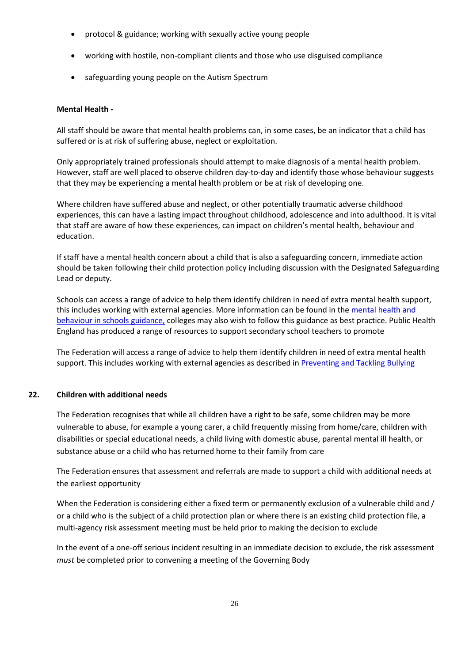- protocol & guidance; working with sexually active young people
- working with hostile, non-compliant clients and those who use disguised compliance
- safeguarding young people on the Autism Spectrum

#### **Mental Health -**

All staff should be aware that mental health problems can, in some cases, be an indicator that a child has suffered or is at risk of suffering abuse, neglect or exploitation.

Only appropriately trained professionals should attempt to make diagnosis of a mental health problem. However, staff are well placed to observe children day-to-day and identify those whose behaviour suggests that they may be experiencing a mental health problem or be at risk of developing one.

Where children have suffered abuse and neglect, or other potentially traumatic adverse childhood experiences, this can have a lasting impact throughout childhood, adolescence and into adulthood. It is vital that staff are aware of how these experiences, can impact on children's mental health, behaviour and education.

If staff have a mental health concern about a child that is also a safeguarding concern, immediate action should be taken following their child protection policy including discussion with the Designated Safeguarding Lead or deputy.

Schools can access a range of advice to help them identify children in need of extra mental health support, this includes working with external agencies. More information can be found in the mental health and [behaviour in schools guidance,](https://www.gov.uk/government/publications/mental-health-and-behaviour-in-schools--2) colleges may also wish to follow this guidance as best practice. Public Health England has produced a range of resources to support secondary school teachers to promote

The Federation will access a range of advice to help them identify children in need of extra mental health support. This includes working with external agencies as described i[n Preventing and Tackling Bullying](https://assets.publishing.service.gov.uk/government/uploads/system/uploads/attachment_data/file/755135/Mental_health_and_behaviour_in_schools__.pdf)

#### <span id="page-25-0"></span>**22. Children with additional needs**

The Federation recognises that while all children have a right to be safe, some children may be more vulnerable to abuse, for example a young carer, a child frequently missing from home/care, children with disabilities or special educational needs, a child living with domestic abuse, parental mental ill health, or substance abuse or a child who has returned home to their family from care

The Federation ensures that assessment and referrals are made to support a child with additional needs at the earliest opportunity

When the Federation is considering either a fixed term or permanently exclusion of a vulnerable child and / or a child who is the subject of a child protection plan or where there is an existing child protection file, a multi-agency risk assessment meeting must be held prior to making the decision to exclude

In the event of a one-off serious incident resulting in an immediate decision to exclude, the risk assessment *must* be completed prior to convening a meeting of the Governing Body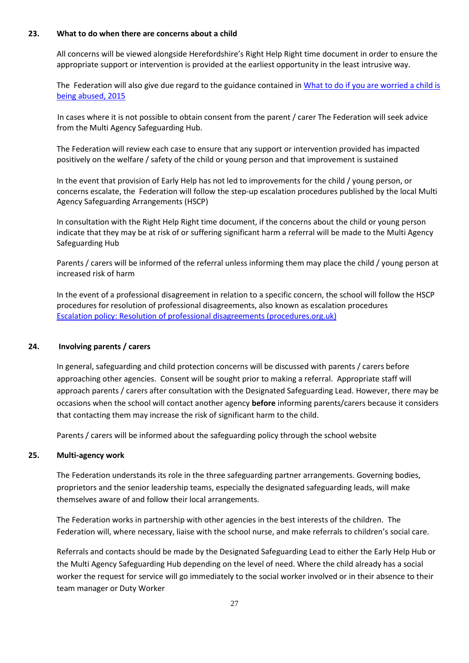#### <span id="page-26-0"></span>**23. What to do when there are concerns about a child**

All concerns will be viewed alongside Herefordshire's Right Help Right time document in order to ensure the appropriate support or intervention is provided at the earliest opportunity in the least intrusive way.

The Federation will also give due regard to the guidance contained i[n What to do if you are worried a child is](https://assets.publishing.service.gov.uk/government/uploads/system/uploads/attachment_data/file/419604/What_to_do_if_you_re_worried_a_child_is_being_abused.pdf)  [being abused, 2015](https://assets.publishing.service.gov.uk/government/uploads/system/uploads/attachment_data/file/419604/What_to_do_if_you_re_worried_a_child_is_being_abused.pdf)

In cases where it is not possible to obtain consent from the parent / carer The Federation will seek advice from the Multi Agency Safeguarding Hub.

The Federation will review each case to ensure that any support or intervention provided has impacted positively on the welfare / safety of the child or young person and that improvement is sustained

In the event that provision of Early Help has not led to improvements for the child / young person, or concerns escalate, the Federation will follow the step-up escalation procedures published by the local Multi Agency Safeguarding Arrangements (HSCP)

In consultation with the Right Help Right time document, if the concerns about the child or young person indicate that they may be at risk of or suffering significant harm a referral will be made to the Multi Agency Safeguarding Hub

Parents / carers will be informed of the referral unless informing them may place the child / young person at increased risk of harm

In the event of a professional disagreement in relation to a specific concern, the school will follow the HSCP procedures for resolution of professional disagreements, also known as escalation procedures [Escalation policy: Resolution of professional disagreements \(procedures.org.uk\)](https://westmidlands.procedures.org.uk/local-content/4gjN/escalation-policy-resolution-of-professional-disagreements/?b=Herefordshire)

#### <span id="page-26-1"></span>**24. Involving parents / carers**

In general, safeguarding and child protection concerns will be discussed with parents / carers before approaching other agencies. Consent will be sought prior to making a referral. Appropriate staff will approach parents / carers after consultation with the Designated Safeguarding Lead. However, there may be occasions when the school will contact another agency **before** informing parents/carers because it considers that contacting them may increase the risk of significant harm to the child.

Parents / carers will be informed about the safeguarding policy through the school website

#### <span id="page-26-2"></span>**25. Multi-agency work**

The Federation understands its role in the three safeguarding partner arrangements. Governing bodies, proprietors and the senior leadership teams, especially the designated safeguarding leads, will make themselves aware of and follow their local arrangements.

The Federation works in partnership with other agencies in the best interests of the children. The Federation will, where necessary, liaise with the school nurse, and make referrals to children's social care.

Referrals and contacts should be made by the Designated Safeguarding Lead to either the Early Help Hub or the Multi Agency Safeguarding Hub depending on the level of need. Where the child already has a social worker the request for service will go immediately to the social worker involved or in their absence to their team manager or Duty Worker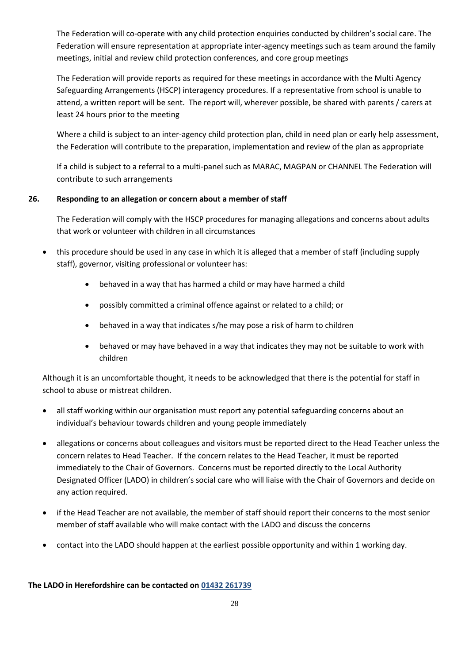The Federation will co-operate with any child protection enquiries conducted by children's social care. The Federation will ensure representation at appropriate inter-agency meetings such as team around the family meetings, initial and review child protection conferences, and core group meetings

The Federation will provide reports as required for these meetings in accordance with the Multi Agency Safeguarding Arrangements (HSCP) interagency procedures. If a representative from school is unable to attend, a written report will be sent. The report will, wherever possible, be shared with parents / carers at least 24 hours prior to the meeting

Where a child is subject to an inter-agency child protection plan, child in need plan or early help assessment, the Federation will contribute to the preparation, implementation and review of the plan as appropriate

If a child is subject to a referral to a multi-panel such as MARAC, MAGPAN or CHANNEL The Federation will contribute to such arrangements

#### <span id="page-27-0"></span>**26. Responding to an allegation or concern about a member of staff**

The Federation will comply with the HSCP procedures for managing allegations and concerns about adults that work or volunteer with children in all circumstances

- this procedure should be used in any case in which it is alleged that a member of staff (including supply staff), governor, visiting professional or volunteer has:
	- behaved in a way that has harmed a child or may have harmed a child
	- possibly committed a criminal offence against or related to a child; or
	- behaved in a way that indicates s/he may pose a risk of harm to children
	- behaved or may have behaved in a way that indicates they may not be suitable to work with children

Although it is an uncomfortable thought, it needs to be acknowledged that there is the potential for staff in school to abuse or mistreat children.

- all staff working within our organisation must report any potential safeguarding concerns about an individual's behaviour towards children and young people immediately
- allegations or concerns about colleagues and visitors must be reported direct to the Head Teacher unless the concern relates to Head Teacher. If the concern relates to the Head Teacher, it must be reported immediately to the Chair of Governors. Concerns must be reported directly to the Local Authority Designated Officer (LADO) in children's social care who will liaise with the Chair of Governors and decide on any action required.
- if the Head Teacher are not available, the member of staff should report their concerns to the most senior member of staff available who will make contact with the LADO and discuss the concerns
- contact into the LADO should happen at the earliest possible opportunity and within 1 working day.

#### **The LADO in Herefordshire can be contacted on 01432 261739**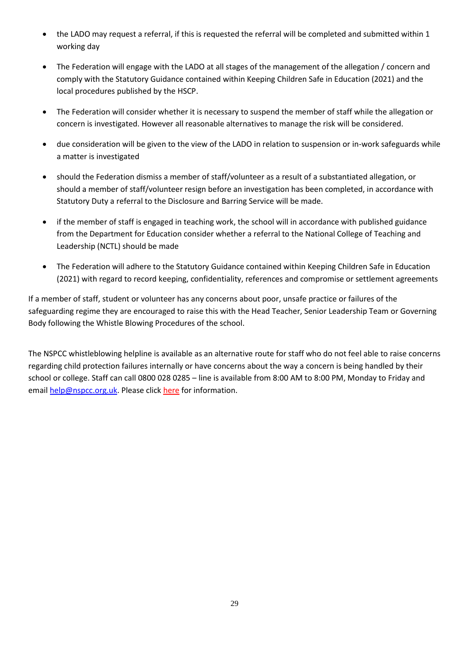- the LADO may request a referral, if this is requested the referral will be completed and submitted within 1 working day
- The Federation will engage with the LADO at all stages of the management of the allegation / concern and comply with the Statutory Guidance contained within Keeping Children Safe in Education (2021) and the local procedures published by the HSCP.
- The Federation will consider whether it is necessary to suspend the member of staff while the allegation or concern is investigated. However all reasonable alternatives to manage the risk will be considered.
- due consideration will be given to the view of the LADO in relation to suspension or in-work safeguards while a matter is investigated
- should the Federation dismiss a member of staff/volunteer as a result of a substantiated allegation, or should a member of staff/volunteer resign before an investigation has been completed, in accordance with Statutory Duty a referral to the Disclosure and Barring Service will be made.
- if the member of staff is engaged in teaching work, the school will in accordance with published guidance from the Department for Education consider whether a referral to the National College of Teaching and Leadership (NCTL) should be made
- The Federation will adhere to the Statutory Guidance contained within Keeping Children Safe in Education (2021) with regard to record keeping, confidentiality, references and compromise or settlement agreements

If a member of staff, student or volunteer has any concerns about poor, unsafe practice or failures of the safeguarding regime they are encouraged to raise this with the Head Teacher, Senior Leadership Team or Governing Body following the Whistle Blowing Procedures of the school.

The NSPCC whistleblowing helpline is available as an alternative route for staff who do not feel able to raise concerns regarding child protection failures internally or have concerns about the way a concern is being handled by their school or college. Staff can call 0800 028 0285 – line is available from 8:00 AM to 8:00 PM, Monday to Friday and email [help@nspcc.org.uk.](mailto:help@nspcc.org.uk) Please click [here](https://www.nspcc.org.uk/what-you-can-do/report-abuse/dedicated-helplines/whistleblowing-advice-line/) for information.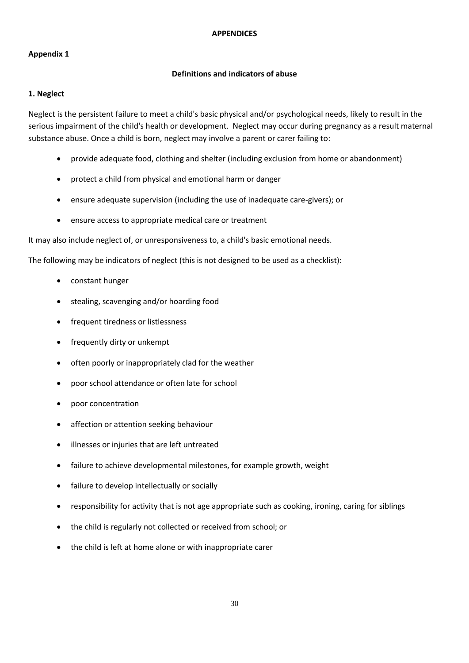#### **APPENDICES**

## <span id="page-29-0"></span>**Appendix 1**

## **Definitions and indicators of abuse**

#### **1. Neglect**

Neglect is the persistent failure to meet a child's basic physical and/or psychological needs, likely to result in the serious impairment of the child's health or development. Neglect may occur during pregnancy as a result maternal substance abuse. Once a child is born, neglect may involve a parent or carer failing to:

- provide adequate food, clothing and shelter (including exclusion from home or abandonment)
- protect a child from physical and emotional harm or danger
- ensure adequate supervision (including the use of inadequate care-givers); or
- ensure access to appropriate medical care or treatment

It may also include neglect of, or unresponsiveness to, a child's basic emotional needs.

The following may be indicators of neglect (this is not designed to be used as a checklist):

- constant hunger
- stealing, scavenging and/or hoarding food
- frequent tiredness or listlessness
- frequently dirty or unkempt
- often poorly or inappropriately clad for the weather
- poor school attendance or often late for school
- poor concentration
- affection or attention seeking behaviour
- illnesses or injuries that are left untreated
- failure to achieve developmental milestones, for example growth, weight
- failure to develop intellectually or socially
- responsibility for activity that is not age appropriate such as cooking, ironing, caring for siblings
- the child is regularly not collected or received from school; or
- the child is left at home alone or with inappropriate carer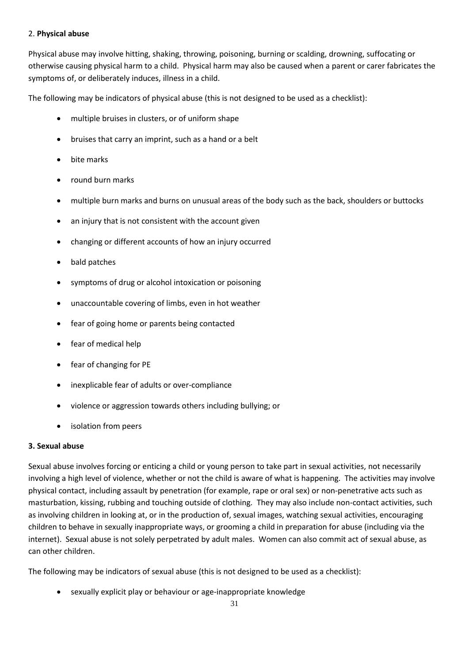#### 2. **Physical abuse**

Physical abuse may involve hitting, shaking, throwing, poisoning, burning or scalding, drowning, suffocating or otherwise causing physical harm to a child. Physical harm may also be caused when a parent or carer fabricates the symptoms of, or deliberately induces, illness in a child.

The following may be indicators of physical abuse (this is not designed to be used as a checklist):

- multiple bruises in clusters, or of uniform shape
- bruises that carry an imprint, such as a hand or a belt
- bite marks
- round burn marks
- multiple burn marks and burns on unusual areas of the body such as the back, shoulders or buttocks
- an injury that is not consistent with the account given
- changing or different accounts of how an injury occurred
- bald patches
- symptoms of drug or alcohol intoxication or poisoning
- unaccountable covering of limbs, even in hot weather
- fear of going home or parents being contacted
- fear of medical help
- fear of changing for PE
- inexplicable fear of adults or over-compliance
- violence or aggression towards others including bullying; or
- isolation from peers

#### **3. Sexual abuse**

Sexual abuse involves forcing or enticing a child or young person to take part in sexual activities, not necessarily involving a high level of violence, whether or not the child is aware of what is happening. The activities may involve physical contact, including assault by penetration (for example, rape or oral sex) or non-penetrative acts such as masturbation, kissing, rubbing and touching outside of clothing*.* They may also include non-contact activities, such as involving children in looking at, or in the production of, sexual images, watching sexual activities, encouraging children to behave in sexually inappropriate ways, or grooming a child in preparation for abuse (including via the internet). Sexual abuse is not solely perpetrated by adult males. Women can also commit act of sexual abuse, as can other children.

The following may be indicators of sexual abuse (this is not designed to be used as a checklist):

• sexually explicit play or behaviour or age-inappropriate knowledge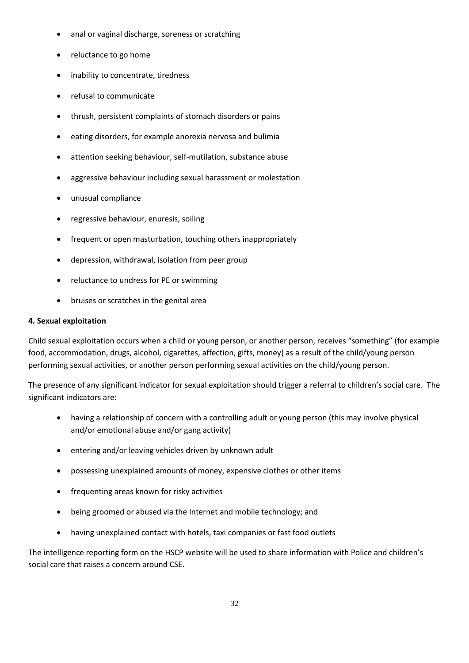- anal or vaginal discharge, soreness or scratching
- reluctance to go home
- inability to concentrate, tiredness
- refusal to communicate
- thrush, persistent complaints of stomach disorders or pains
- eating disorders, for example anorexia nervosa and bulimia
- attention seeking behaviour, self-mutilation, substance abuse
- aggressive behaviour including sexual harassment or molestation
- unusual compliance
- regressive behaviour, enuresis, soiling
- frequent or open masturbation, touching others inappropriately
- depression, withdrawal, isolation from peer group
- reluctance to undress for PE or swimming
- bruises or scratches in the genital area

#### **4. Sexual exploitation**

Child sexual exploitation occurs when a child or young person, or another person, receives "something" (for example food, accommodation, drugs, alcohol, cigarettes, affection, gifts, money) as a result of the child/young person performing sexual activities, or another person performing sexual activities on the child/young person.

The presence of any significant indicator for sexual exploitation should trigger a referral to children's social care. The significant indicators are:

- having a relationship of concern with a controlling adult or young person (this may involve physical and/or emotional abuse and/or gang activity)
- entering and/or leaving vehicles driven by unknown adult
- possessing unexplained amounts of money, expensive clothes or other items
- frequenting areas known for risky activities
- being groomed or abused via the Internet and mobile technology; and
- having unexplained contact with hotels, taxi companies or fast food outlets

The intelligence reporting form on the HSCP website will be used to share information with Police and children's social care that raises a concern around CSE.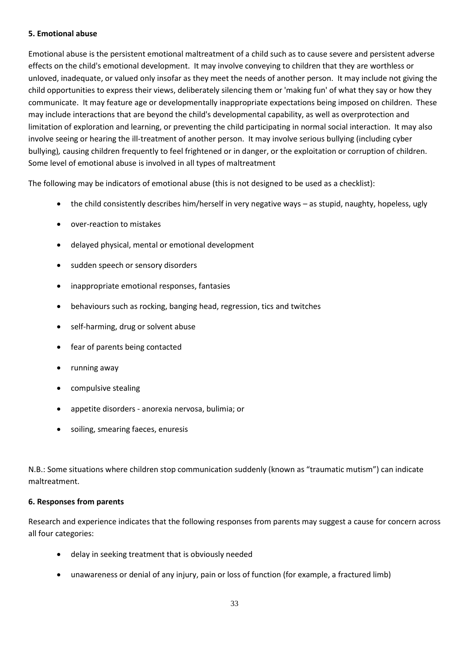#### **5. Emotional abuse**

Emotional abuse is the persistent emotional maltreatment of a child such as to cause severe and persistent adverse effects on the child's emotional development. It may involve conveying to children that they are worthless or unloved, inadequate, or valued only insofar as they meet the needs of another person. It may include not giving the child opportunities to express their views, deliberately silencing them or 'making fun' of what they say or how they communicate. It may feature age or developmentally inappropriate expectations being imposed on children. These may include interactions that are beyond the child's developmental capability, as well as overprotection and limitation of exploration and learning, or preventing the child participating in normal social interaction. It may also involve seeing or hearing the ill-treatment of another person. It may involve serious bullying (including cyber bullying)*,* causing children frequently to feel frightened or in danger, or the exploitation or corruption of children. Some level of emotional abuse is involved in all types of maltreatment

The following may be indicators of emotional abuse (this is not designed to be used as a checklist):

- the child consistently describes him/herself in very negative ways as stupid, naughty, hopeless, ugly
- over-reaction to mistakes
- delayed physical, mental or emotional development
- sudden speech or sensory disorders
- inappropriate emotional responses, fantasies
- behaviours such as rocking, banging head, regression, tics and twitches
- self-harming, drug or solvent abuse
- fear of parents being contacted
- running away
- compulsive stealing
- appetite disorders anorexia nervosa, bulimia; or
- soiling, smearing faeces, enuresis

N.B.: Some situations where children stop communication suddenly (known as "traumatic mutism") can indicate maltreatment.

## **6. Responses from parents**

Research and experience indicates that the following responses from parents may suggest a cause for concern across all four categories:

- delay in seeking treatment that is obviously needed
- unawareness or denial of any injury, pain or loss of function (for example, a fractured limb)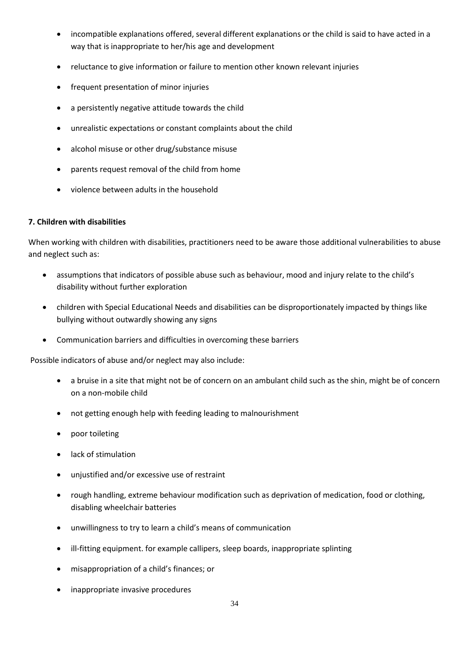- incompatible explanations offered, several different explanations or the child is said to have acted in a way that is inappropriate to her/his age and development
- reluctance to give information or failure to mention other known relevant injuries
- frequent presentation of minor injuries
- a persistently negative attitude towards the child
- unrealistic expectations or constant complaints about the child
- alcohol misuse or other drug/substance misuse
- parents request removal of the child from home
- violence between adults in the household

## **7. Children with disabilities**

When working with children with disabilities, practitioners need to be aware those additional vulnerabilities to abuse and neglect such as:

- assumptions that indicators of possible abuse such as behaviour, mood and injury relate to the child's disability without further exploration
- children with Special Educational Needs and disabilities can be disproportionately impacted by things like bullying without outwardly showing any signs
- Communication barriers and difficulties in overcoming these barriers

Possible indicators of abuse and/or neglect may also include:

- a bruise in a site that might not be of concern on an ambulant child such as the shin, might be of concern on a non-mobile child
- not getting enough help with feeding leading to malnourishment
- poor toileting
- lack of stimulation
- unjustified and/or excessive use of restraint
- rough handling, extreme behaviour modification such as deprivation of medication, food or clothing, disabling wheelchair batteries
- unwillingness to try to learn a child's means of communication
- ill-fitting equipment. for example callipers, sleep boards, inappropriate splinting
- misappropriation of a child's finances; or
- inappropriate invasive procedures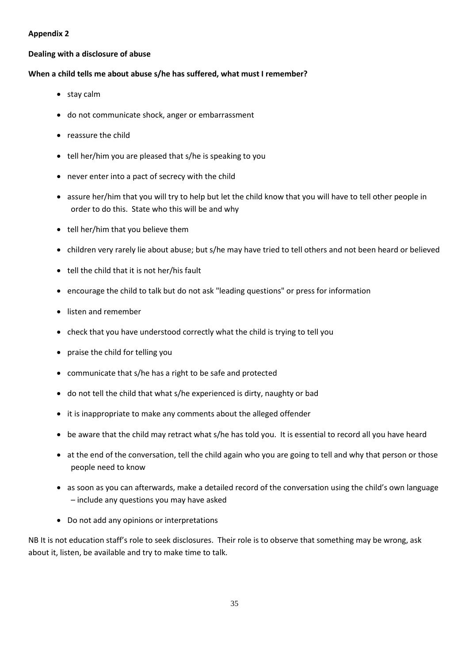## <span id="page-34-0"></span>**Appendix 2**

#### **Dealing with a disclosure of abuse**

#### **When a child tells me about abuse s/he has suffered, what must I remember?**

- stay calm
- do not communicate shock, anger or embarrassment
- reassure the child
- tell her/him you are pleased that s/he is speaking to you
- never enter into a pact of secrecy with the child
- assure her/him that you will try to help but let the child know that you will have to tell other people in order to do this. State who this will be and why
- tell her/him that you believe them
- children very rarely lie about abuse; but s/he may have tried to tell others and not been heard or believed
- tell the child that it is not her/his fault
- encourage the child to talk but do not ask "leading questions" or press for information
- listen and remember
- check that you have understood correctly what the child is trying to tell you
- praise the child for telling you
- communicate that s/he has a right to be safe and protected
- do not tell the child that what s/he experienced is dirty, naughty or bad
- it is inappropriate to make any comments about the alleged offender
- be aware that the child may retract what s/he has told you. It is essential to record all you have heard
- at the end of the conversation, tell the child again who you are going to tell and why that person or those people need to know
- as soon as you can afterwards, make a detailed record of the conversation using the child's own language – include any questions you may have asked
- Do not add any opinions or interpretations

NB It is not education staff's role to seek disclosures. Their role is to observe that something may be wrong, ask about it, listen, be available and try to make time to talk.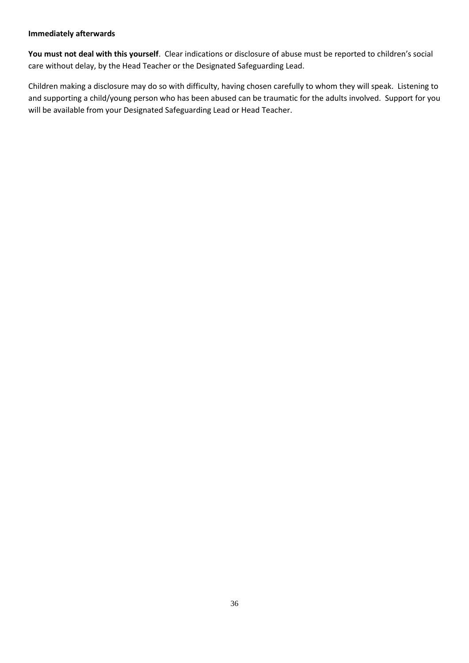#### **Immediately afterwards**

**You must not deal with this yourself**. Clear indications or disclosure of abuse must be reported to children's social care without delay, by the Head Teacher or the Designated Safeguarding Lead.

Children making a disclosure may do so with difficulty, having chosen carefully to whom they will speak. Listening to and supporting a child/young person who has been abused can be traumatic for the adults involved. Support for you will be available from your Designated Safeguarding Lead or Head Teacher.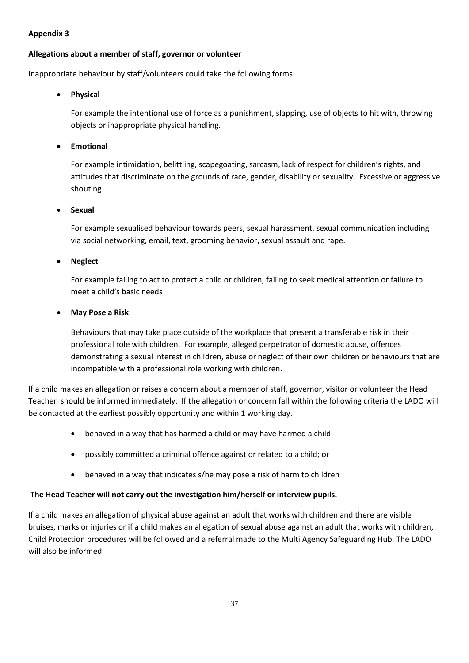## **Appendix 3**

## <span id="page-36-0"></span>**Allegations about a member of staff, governor or volunteer**

Inappropriate behaviour by staff/volunteers could take the following forms:

#### • **Physical**

For example the intentional use of force as a punishment, slapping, use of objects to hit with, throwing objects or inappropriate physical handling.

## • **Emotional**

For example intimidation, belittling, scapegoating, sarcasm, lack of respect for children's rights, and attitudes that discriminate on the grounds of race, gender, disability or sexuality. Excessive or aggressive shouting

#### • **Sexual**

For example sexualised behaviour towards peers, sexual harassment, sexual communication including via social networking, email, text, grooming behavior, sexual assault and rape.

#### • **Neglect**

For example failing to act to protect a child or children, failing to seek medical attention or failure to meet a child's basic needs

#### • **May Pose a Risk**

Behaviours that may take place outside of the workplace that present a transferable risk in their professional role with children. For example, alleged perpetrator of domestic abuse, offences demonstrating a sexual interest in children, abuse or neglect of their own children or behaviours that are incompatible with a professional role working with children.

If a child makes an allegation or raises a concern about a member of staff, governor, visitor or volunteer the Head Teacher should be informed immediately. If the allegation or concern fall within the following criteria the LADO will be contacted at the earliest possibly opportunity and within 1 working day.

- behaved in a way that has harmed a child or may have harmed a child
- possibly committed a criminal offence against or related to a child; or
- behaved in a way that indicates s/he may pose a risk of harm to children

## **The Head Teacher will not carry out the investigation him/herself or interview pupils.**

If a child makes an allegation of physical abuse against an adult that works with children and there are visible bruises, marks or injuries or if a child makes an allegation of sexual abuse against an adult that works with children, Child Protection procedures will be followed and a referral made to the Multi Agency Safeguarding Hub. The LADO will also be informed.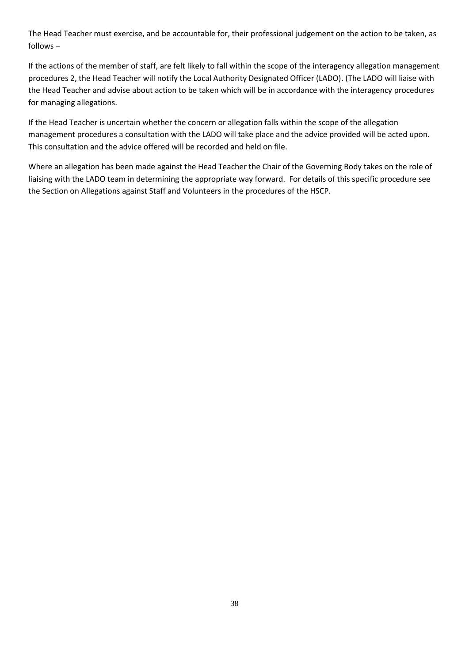The Head Teacher must exercise, and be accountable for, their professional judgement on the action to be taken, as follows –

If the actions of the member of staff, are felt likely to fall within the scope of the interagency allegation management procedures 2, the Head Teacher will notify the Local Authority Designated Officer (LADO). (The LADO will liaise with the Head Teacher and advise about action to be taken which will be in accordance with the interagency procedures for managing allegations.

If the Head Teacher is uncertain whether the concern or allegation falls within the scope of the allegation management procedures a consultation with the LADO will take place and the advice provided will be acted upon. This consultation and the advice offered will be recorded and held on file.

Where an allegation has been made against the Head Teacher the Chair of the Governing Body takes on the role of liaising with the LADO team in determining the appropriate way forward. For details of this specific procedure see the Section [on Allegations against Staff and Volunteers](http://lutonlscb.org.uk/allegations.html) in the procedures of the HSCP.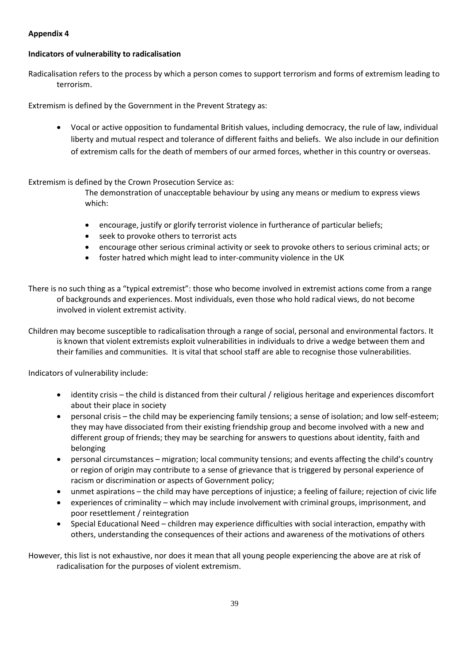## <span id="page-38-0"></span>**Appendix 4**

#### **Indicators of vulnerability to radicalisation**

Radicalisation refers to the process by which a person comes to support terrorism and forms of extremism leading to terrorism.

Extremism is defined by the Government in the Prevent Strategy as:

• Vocal or active opposition to fundamental British values, including democracy, the rule of law, individual liberty and mutual respect and tolerance of different faiths and beliefs. We also include in our definition of extremism calls for the death of members of our armed forces, whether in this country or overseas.

#### Extremism is defined by the Crown Prosecution Service as:

The demonstration of unacceptable behaviour by using any means or medium to express views which:

- encourage, justify or glorify terrorist violence in furtherance of particular beliefs;
- seek to provoke others to terrorist acts
- encourage other serious criminal activity or seek to provoke others to serious criminal acts; or
- foster hatred which might lead to inter-community violence in the UK
- There is no such thing as a "typical extremist": those who become involved in extremist actions come from a range of backgrounds and experiences. Most individuals, even those who hold radical views, do not become involved in violent extremist activity.

Children may become susceptible to radicalisation through a range of social, personal and environmental factors. It is known that violent extremists exploit vulnerabilities in individuals to drive a wedge between them and their families and communities. It is vital that school staff are able to recognise those vulnerabilities.

Indicators of vulnerability include:

- identity crisis the child is distanced from their cultural / religious heritage and experiences discomfort about their place in society
- personal crisis the child may be experiencing family tensions; a sense of isolation; and low self-esteem; they may have dissociated from their existing friendship group and become involved with a new and different group of friends; they may be searching for answers to questions about identity, faith and belonging
- personal circumstances migration; local community tensions; and events affecting the child's country or region of origin may contribute to a sense of grievance that is triggered by personal experience of racism or discrimination or aspects of Government policy;
- unmet aspirations the child may have perceptions of injustice; a feeling of failure; rejection of civic life
- experiences of criminality which may include involvement with criminal groups, imprisonment, and poor resettlement / reintegration
- Special Educational Need children may experience difficulties with social interaction, empathy with others, understanding the consequences of their actions and awareness of the motivations of others

However, this list is not exhaustive, nor does it mean that all young people experiencing the above are at risk of radicalisation for the purposes of violent extremism.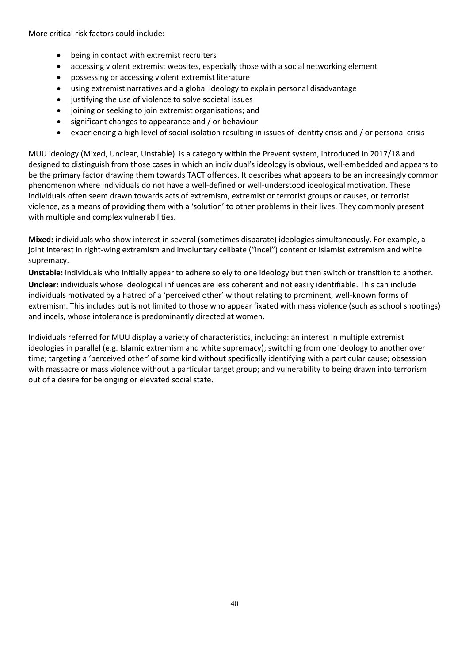More critical risk factors could include:

- being in contact with extremist recruiters
- accessing violent extremist websites, especially those with a social networking element
- possessing or accessing violent extremist literature
- using extremist narratives and a global ideology to explain personal disadvantage
- justifying the use of violence to solve societal issues
- joining or seeking to join extremist organisations; and
- significant changes to appearance and / or behaviour
- experiencing a high level of social isolation resulting in issues of identity crisis and / or personal crisis

MUU ideology (Mixed, Unclear, Unstable) is a category within the Prevent system, introduced in 2017/18 and designed to distinguish from those cases in which an individual's ideology is obvious, well-embedded and appears to be the primary factor drawing them towards TACT offences. It describes what appears to be an increasingly common phenomenon where individuals do not have a well-defined or well-understood ideological motivation. These individuals often seem drawn towards acts of extremism, extremist or terrorist groups or causes, or terrorist violence, as a means of providing them with a 'solution' to other problems in their lives. They commonly present with multiple and complex vulnerabilities.

**Mixed:** individuals who show interest in several (sometimes disparate) ideologies simultaneously. For example, a joint interest in right-wing extremism and involuntary celibate ("incel") content or Islamist extremism and white supremacy.

**Unstable:** individuals who initially appear to adhere solely to one ideology but then switch or transition to another. **Unclear:** individuals whose ideological influences are less coherent and not easily identifiable. This can include individuals motivated by a hatred of a 'perceived other' without relating to prominent, well-known forms of extremism. This includes but is not limited to those who appear fixated with mass violence (such as school shootings) and incels, whose intolerance is predominantly directed at women.

Individuals referred for MUU display a variety of characteristics, including: an interest in multiple extremist ideologies in parallel (e.g. Islamic extremism and white supremacy); switching from one ideology to another over time; targeting a 'perceived other' of some kind without specifically identifying with a particular cause; obsession with massacre or mass violence without a particular target group; and vulnerability to being drawn into terrorism out of a desire for belonging or elevated social state.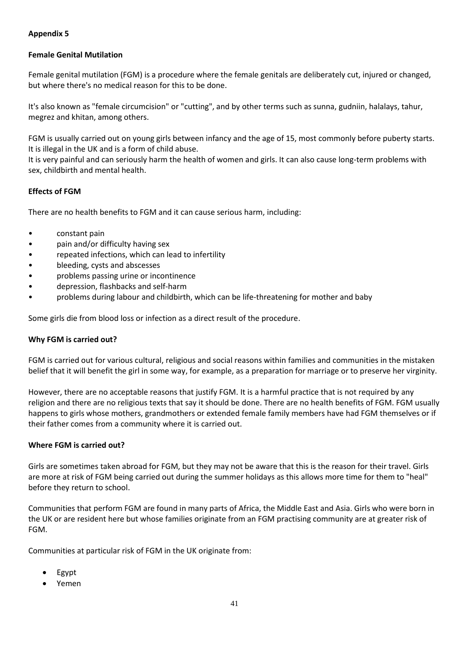## **Appendix 5**

## <span id="page-40-0"></span>**Female Genital Mutilation**

Female genital mutilation (FGM) is a procedure where the female genitals are deliberately cut, injured or changed, but where there's no medical reason for this to be done.

It's also known as "female circumcision" or "cutting", and by other terms such as sunna, gudniin, halalays, tahur, megrez and khitan, among others.

FGM is usually carried out on young girls between infancy and the age of 15, most commonly before puberty starts. It is illegal in the UK and is a form of child abuse.

It is very painful and can seriously harm the health of women and girls. It can also cause long-term problems with sex, childbirth and mental health.

#### **Effects of FGM**

There are no health benefits to FGM and it can cause serious harm, including:

- constant pain
- pain and/or difficulty having sex
- repeated infections, which can lead to infertility
- bleeding, cysts and abscesses
- problems passing urine or incontinence
- depression, flashbacks and self-harm
- problems during labour and childbirth, which can be life-threatening for mother and baby

Some girls die from blood loss or infection as a direct result of the procedure.

#### **Why FGM is carried out?**

FGM is carried out for various cultural, religious and social reasons within families and communities in the mistaken belief that it will benefit the girl in some way, for example, as a preparation for marriage or to preserve her virginity.

However, there are no acceptable reasons that justify FGM. It is a harmful practice that is not required by any religion and there are no religious texts that say it should be done. There are no health benefits of FGM. FGM usually happens to girls whose mothers, grandmothers or extended female family members have had FGM themselves or if their father comes from a community where it is carried out.

#### **Where FGM is carried out?**

Girls are sometimes taken abroad for FGM, but they may not be aware that this is the reason for their travel. Girls are more at risk of FGM being carried out during the summer holidays as this allows more time for them to "heal" before they return to school.

Communities that perform FGM are found in many parts of Africa, the Middle East and Asia. Girls who were born in the UK or are resident here but whose families originate from an FGM practising community are at greater risk of FGM.

Communities at particular risk of FGM in the UK originate from:

- Egypt
- Yemen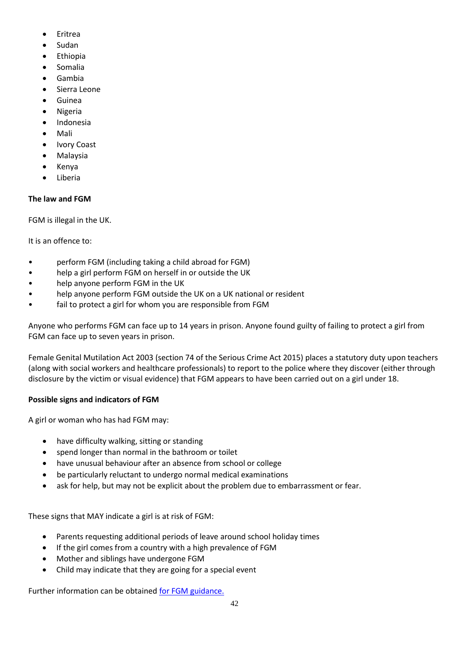- Eritrea
- Sudan
- **Ethiopia**
- Somalia
- Gambia
- Sierra Leone
- Guinea
- Nigeria
- Indonesia
- Mali
- **Ivory Coast**
- Malaysia
- Kenya
- **Liberia**

## **The law and FGM**

FGM is illegal in the UK.

It is an offence to:

- perform FGM (including taking a child abroad for FGM)
- help a girl perform FGM on herself in or outside the UK
- help anyone perform FGM in the UK
- help anyone perform FGM outside the UK on a UK national or resident
- fail to protect a girl for whom you are responsible from FGM

Anyone who performs FGM can face up to 14 years in prison. Anyone found guilty of failing to protect a girl from FGM can face up to seven years in prison.

Female Genital Mutilation Act 2003 (section 74 of the Serious Crime Act 2015) places a statutory duty upon teachers (along with social workers and healthcare professionals) to report to the police where they discover (either through disclosure by the victim or visual evidence) that FGM appears to have been carried out on a girl under 18.

## **Possible signs and indicators of FGM**

A girl or woman who has had FGM may:

- have difficulty walking, sitting or standing
- spend longer than normal in the bathroom or toilet
- have unusual behaviour after an absence from school or college
- be particularly reluctant to undergo normal medical examinations
- ask for help, but may not be explicit about the problem due to embarrassment or fear.

These signs that MAY indicate a girl is at risk of FGM:

- Parents requesting additional periods of leave around school holiday times
- If the girl comes from a country with a high prevalence of FGM
- Mother and siblings have undergone FGM
- Child may indicate that they are going for a special event

Further information can be obtained [for FGM guidance.](https://www.gov.uk/government/publications/multi-agency-statutory-guidance-on-female-genital-mutilation)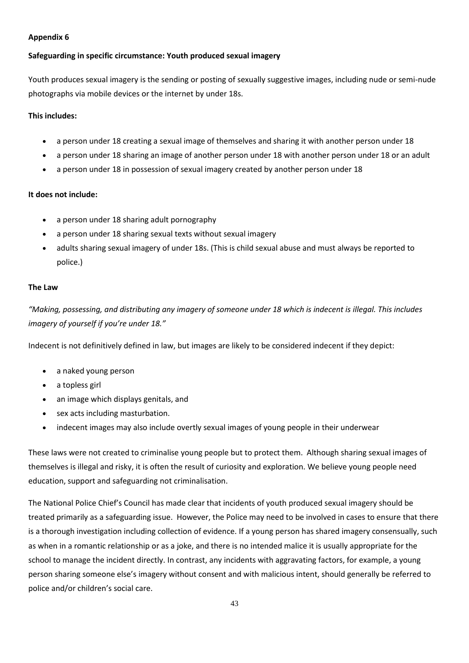#### **Appendix 6**

#### <span id="page-42-0"></span>**Safeguarding in specific circumstance: Youth produced sexual imagery**

Youth produces sexual imagery is the sending or posting of sexually suggestive images, including nude or semi-nude photographs via mobile devices or the internet by under 18s.

#### **This includes:**

- a person under 18 creating a sexual image of themselves and sharing it with another person under 18
- a person under 18 sharing an image of another person under 18 with another person under 18 or an adult
- a person under 18 in possession of sexual imagery created by another person under 18

#### **It does not include:**

- a person under 18 sharing adult pornography
- a person under 18 sharing sexual texts without sexual imagery
- adults sharing sexual imagery of under 18s. (This is child sexual abuse and must always be reported to police.)

#### **The Law**

*"Making, possessing, and distributing any imagery of someone under 18 which is indecent is illegal. This includes imagery of yourself if you're under 18."*

Indecent is not definitively defined in law, but images are likely to be considered indecent if they depict:

- a naked young person
- a topless girl
- an image which displays genitals, and
- sex acts including masturbation.
- indecent images may also include overtly sexual images of young people in their underwear

These laws were not created to criminalise young people but to protect them. Although sharing sexual images of themselves is illegal and risky, it is often the result of curiosity and exploration. We believe young people need education, support and safeguarding not criminalisation.

The National Police Chief's Council has made clear that incidents of youth produced sexual imagery should be treated primarily as a safeguarding issue. However, the Police may need to be involved in cases to ensure that there is a thorough investigation including collection of evidence. If a young person has shared imagery consensually, such as when in a romantic relationship or as a joke, and there is no intended malice it is usually appropriate for the school to manage the incident directly. In contrast, any incidents with aggravating factors, for example, a young person sharing someone else's imagery without consent and with malicious intent, should generally be referred to police and/or children's social care.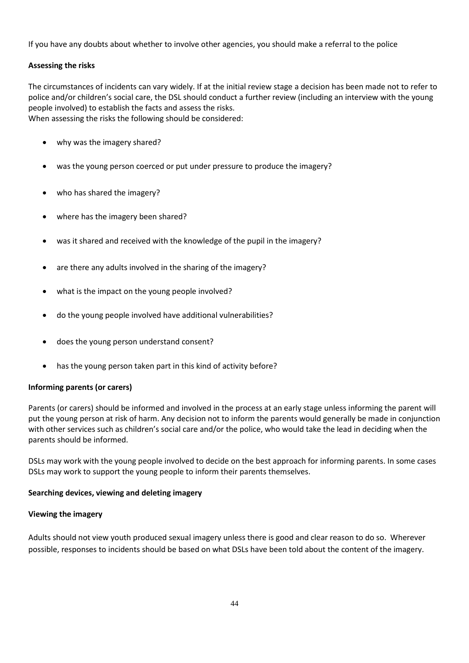If you have any doubts about whether to involve other agencies, you should make a referral to the police

## **Assessing the risks**

The circumstances of incidents can vary widely. If at the initial review stage a decision has been made not to refer to police and/or children's social care, the DSL should conduct a further review (including an interview with the young people involved) to establish the facts and assess the risks. When assessing the risks the following should be considered:

- why was the imagery shared?
- was the young person coerced or put under pressure to produce the imagery?
- who has shared the imagery?
- where has the imagery been shared?
- was it shared and received with the knowledge of the pupil in the imagery?
- are there any adults involved in the sharing of the imagery?
- what is the impact on the young people involved?
- do the young people involved have additional vulnerabilities?
- does the young person understand consent?
- has the young person taken part in this kind of activity before?

#### **Informing parents (or carers)**

Parents (or carers) should be informed and involved in the process at an early stage unless informing the parent will put the young person at risk of harm. Any decision not to inform the parents would generally be made in conjunction with other services such as children's social care and/or the police, who would take the lead in deciding when the parents should be informed.

DSLs may work with the young people involved to decide on the best approach for informing parents. In some cases DSLs may work to support the young people to inform their parents themselves.

#### **Searching devices, viewing and deleting imagery**

#### **Viewing the imagery**

Adults should not view youth produced sexual imagery unless there is good and clear reason to do so. Wherever possible, responses to incidents should be based on what DSLs have been told about the content of the imagery.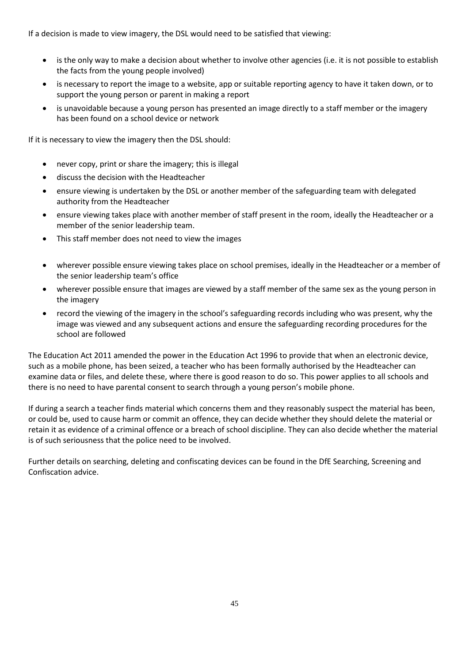If a decision is made to view imagery, the DSL would need to be satisfied that viewing:

- is the only way to make a decision about whether to involve other agencies (i.e. it is not possible to establish the facts from the young people involved)
- is necessary to report the image to a website, app or suitable reporting agency to have it taken down, or to support the young person or parent in making a report
- is unavoidable because a young person has presented an image directly to a staff member or the imagery has been found on a school device or network

If it is necessary to view the imagery then the DSL should:

- never copy, print or share the imagery; this is illegal
- discuss the decision with the Headteacher
- ensure viewing is undertaken by the DSL or another member of the safeguarding team with delegated authority from the Headteacher
- ensure viewing takes place with another member of staff present in the room, ideally the Headteacher or a member of the senior leadership team.
- This staff member does not need to view the images
- wherever possible ensure viewing takes place on school premises, ideally in the Headteacher or a member of the senior leadership team's office
- wherever possible ensure that images are viewed by a staff member of the same sex as the young person in the imagery
- record the viewing of the imagery in the school's safeguarding records including who was present, why the image was viewed and any subsequent actions and ensure the safeguarding recording procedures for the school are followed

The Education Act 2011 amended the power in the Education Act 1996 to provide that when an electronic device, such as a mobile phone, has been seized, a teacher who has been formally authorised by the Headteacher can examine data or files, and delete these, where there is good reason to do so. This power applies to all schools and there is no need to have parental consent to search through a young person's mobile phone.

If during a search a teacher finds material which concerns them and they reasonably suspect the material has been, or could be, used to cause harm or commit an offence, they can decide whether they should delete the material or retain it as evidence of a criminal offence or a breach of school discipline. They can also decide whether the material is of such seriousness that the police need to be involved.

Further details on searching, deleting and confiscating devices can be found in the DfE Searching, Screening and Confiscation advice.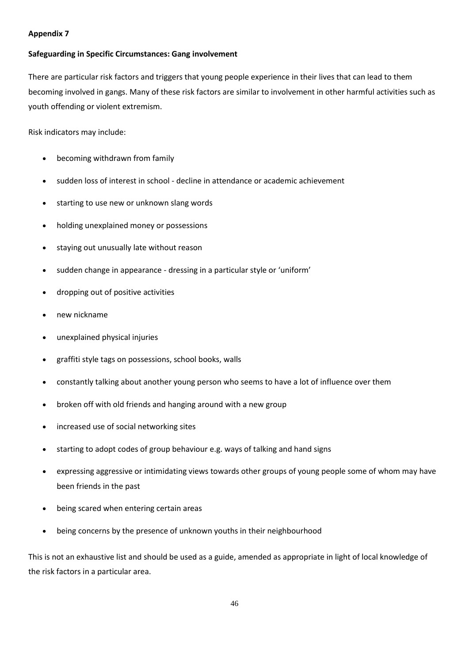#### <span id="page-45-0"></span>**Appendix 7**

#### **Safeguarding in Specific Circumstances: Gang involvement**

There are particular risk factors and triggers that young people experience in their lives that can lead to them becoming involved in gangs. Many of these risk factors are similar to involvement in other harmful activities such as youth offending or violent extremism.

Risk indicators may include:

- becoming withdrawn from family
- sudden loss of interest in school decline in attendance or academic achievement
- starting to use new or unknown slang words
- holding unexplained money or possessions
- staying out unusually late without reason
- sudden change in appearance dressing in a particular style or 'uniform'
- dropping out of positive activities
- new nickname
- unexplained physical injuries
- graffiti style tags on possessions, school books, walls
- constantly talking about another young person who seems to have a lot of influence over them
- broken off with old friends and hanging around with a new group
- increased use of social networking sites
- starting to adopt codes of group behaviour e.g. ways of talking and hand signs
- expressing aggressive or intimidating views towards other groups of young people some of whom may have been friends in the past
- being scared when entering certain areas
- being concerns by the presence of unknown youths in their neighbourhood

This is not an exhaustive list and should be used as a guide, amended as appropriate in light of local knowledge of the risk factors in a particular area.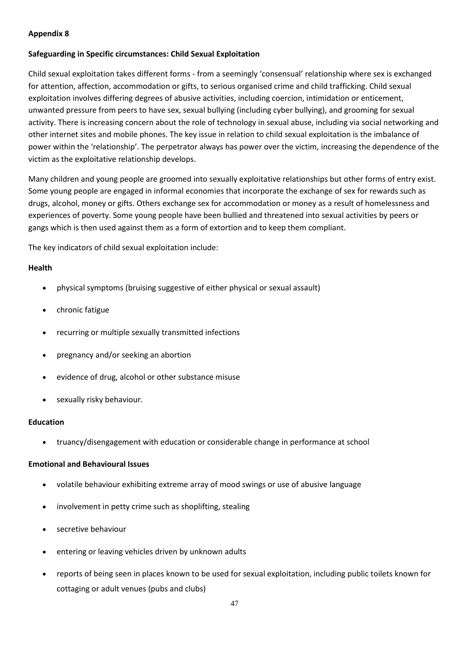## <span id="page-46-0"></span>**Appendix 8**

#### **Safeguarding in Specific circumstances: Child Sexual Exploitation**

Child sexual exploitation takes different forms - from a seemingly 'consensual' relationship where sex is exchanged for attention, affection, accommodation or gifts, to serious organised crime and child trafficking. Child sexual exploitation involves differing degrees of abusive activities, including coercion, intimidation or enticement, unwanted pressure from peers to have sex, sexual bullying (including cyber bullying), and grooming for sexual activity. There is increasing concern about the role of technology in sexual abuse, including via social networking and other internet sites and mobile phones. The key issue in relation to child sexual exploitation is the imbalance of power within the 'relationship'. The perpetrator always has power over the victim, increasing the dependence of the victim as the exploitative relationship develops.

Many children and young people are groomed into sexually exploitative relationships but other forms of entry exist. Some young people are engaged in informal economies that incorporate the exchange of sex for rewards such as drugs, alcohol, money or gifts. Others exchange sex for accommodation or money as a result of homelessness and experiences of poverty. Some young people have been bullied and threatened into sexual activities by peers or gangs which is then used against them as a form of extortion and to keep them compliant.

The key indicators of child sexual exploitation include:

#### **Health**

- physical symptoms (bruising suggestive of either physical or sexual assault)
- chronic fatigue
- recurring or multiple sexually transmitted infections
- pregnancy and/or seeking an abortion
- evidence of drug, alcohol or other substance misuse
- sexually risky behaviour.

#### **Education**

• truancy/disengagement with education or considerable change in performance at school

#### **Emotional and Behavioural Issues**

- volatile behaviour exhibiting extreme array of mood swings or use of abusive language
- involvement in petty crime such as shoplifting, stealing
- secretive behaviour
- entering or leaving vehicles driven by unknown adults
- reports of being seen in places known to be used for sexual exploitation, including public toilets known for cottaging or adult venues (pubs and clubs)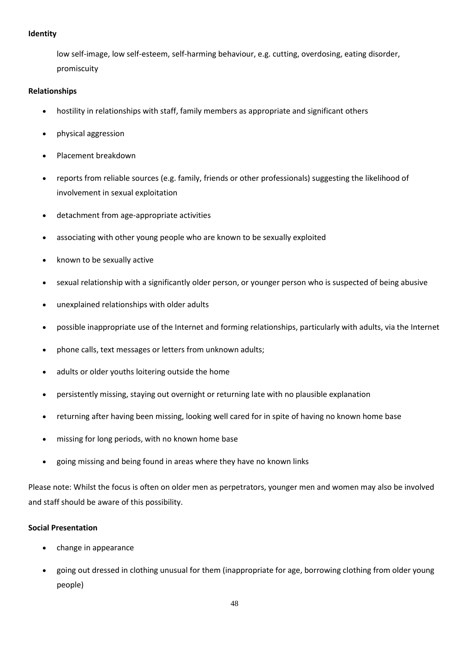#### **Identity**

low self-image, low self-esteem, self-harming behaviour, e.g. cutting, overdosing, eating disorder, promiscuity

## **Relationships**

- hostility in relationships with staff, family members as appropriate and significant others
- physical aggression
- Placement breakdown
- reports from reliable sources (e.g. family, friends or other professionals) suggesting the likelihood of involvement in sexual exploitation
- detachment from age-appropriate activities
- associating with other young people who are known to be sexually exploited
- known to be sexually active
- sexual relationship with a significantly older person, or younger person who is suspected of being abusive
- unexplained relationships with older adults
- possible inappropriate use of the Internet and forming relationships, particularly with adults, via the Internet
- phone calls, text messages or letters from unknown adults;
- adults or older youths loitering outside the home
- persistently missing, staying out overnight or returning late with no plausible explanation
- returning after having been missing, looking well cared for in spite of having no known home base
- missing for long periods, with no known home base
- going missing and being found in areas where they have no known links

Please note: Whilst the focus is often on older men as perpetrators, younger men and women may also be involved and staff should be aware of this possibility.

#### **Social Presentation**

- change in appearance
- going out dressed in clothing unusual for them (inappropriate for age, borrowing clothing from older young people)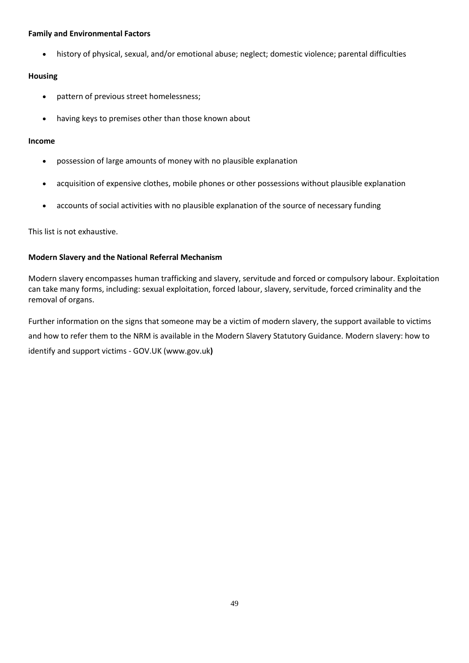#### **Family and Environmental Factors**

• history of physical, sexual, and/or emotional abuse; neglect; domestic violence; parental difficulties

## **Housing**

- pattern of previous street homelessness;
- having keys to premises other than those known about

#### **Income**

- possession of large amounts of money with no plausible explanation
- acquisition of expensive clothes, mobile phones or other possessions without plausible explanation
- accounts of social activities with no plausible explanation of the source of necessary funding

This list is not exhaustive.

## **Modern Slavery and the National Referral Mechanism**

Modern slavery encompasses human trafficking and slavery, servitude and forced or compulsory labour. Exploitation can take many forms, including: sexual exploitation, forced labour, slavery, servitude, forced criminality and the removal of organs.

Further information on the signs that someone may be a victim of modern slavery, the support available to victims and how to refer them to the NRM is available in the Modern Slavery Statutory Guidance. Modern slavery: how to identify and support victims - GOV.UK (www.gov.uk**)**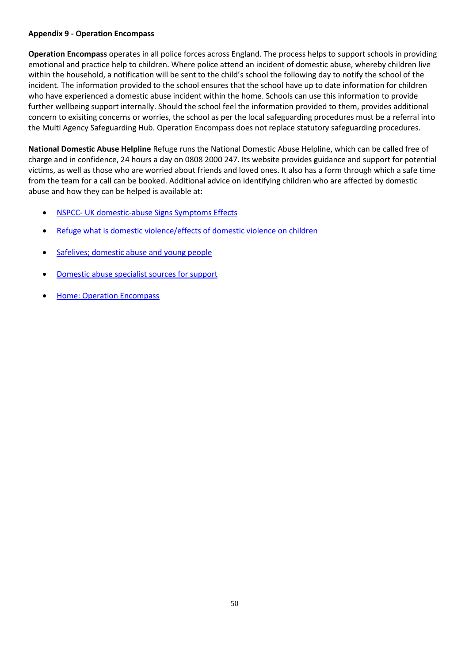#### <span id="page-49-0"></span>**Appendix 9 - Operation Encompass**

**Operation Encompass** operates in all police forces across England. The process helps to support schools in providing emotional and practice help to children. Where police attend an incident of domestic abuse, whereby children live within the household, a notification will be sent to the child's school the following day to notify the school of the incident. The information provided to the school ensures that the school have up to date information for children who have experienced a domestic abuse incident within the home. Schools can use this information to provide further wellbeing support internally. Should the school feel the information provided to them, provides additional concern to exisiting concerns or worries, the school as per the local safeguarding procedures must be a referral into the Multi Agency Safeguarding Hub. Operation Encompass does not replace statutory safeguarding procedures.

**National Domestic Abuse Helpline** Refuge runs the National Domestic Abuse Helpline, which can be called free of charge and in confidence, 24 hours a day on 0808 2000 247. Its website provides guidance and support for potential victims, as well as those who are worried about friends and loved ones. It also has a form through which a safe time from the team for a call can be booked. Additional advice on identifying children who are affected by domestic abuse and how they can be helped is available at:

- NSPCC- [UK domestic-abuse Signs Symptoms Effects](https://www.nspcc.org.uk/what-is-child-abuse/types-of-abuse/domestic-abuse/)
- [Refuge what is domestic violence/effects of domestic violence on children](https://www.refuge.org.uk/get-help-now/support-for-women/what-about-my-children/)
- [Safelives; domestic abuse and young people](https://safelives.org.uk/knowledge-hub/spotlights/spotlight-3-young-people-and-domestic-abuse)
- [Domestic abuse specialist sources for support](https://www.gov.uk/government/publications/domestic-abuse-get-help-for-specific-needs-or-situations/domestic-abuse-specialist-sources-of-support)
- [Home: Operation Encompass](https://www.operationencompass.org/)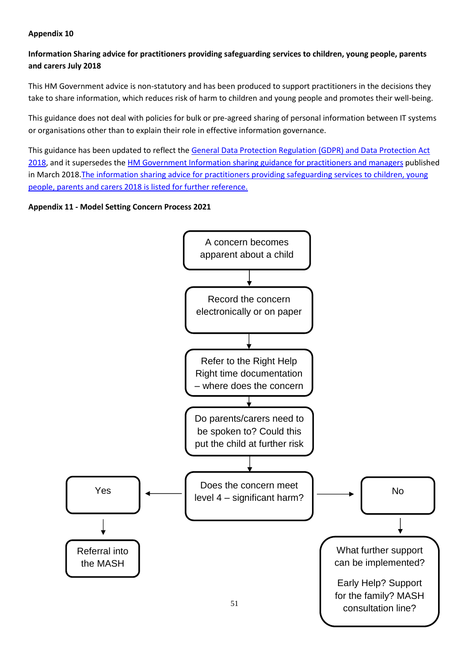## <span id="page-50-0"></span>**Appendix 10**

## **Information Sharing advice for practitioners providing safeguarding services to children, young people, parents and carers July 2018**

This HM Government advice is non-statutory and has been produced to support practitioners in the decisions they take to share information, which reduces risk of harm to children and young people and promotes their well-being.

This guidance does not deal with policies for bulk or pre-agreed sharing of personal information between IT systems or organisations other than to explain their role in effective information governance.

This guidance has been updated to reflect the [General Data Protection Regulation \(GDPR\) and Data Protection Act](https://ico.org.uk/for-organisations/guide-to-data-protection/guide-to-the-general-data-protection-regulation-gdpr/)  [2018,](https://ico.org.uk/for-organisations/guide-to-data-protection/guide-to-the-general-data-protection-regulation-gdpr/) and it supersedes the HM Government Information [sharing guidance for practitioners and managers](https://assets.publishing.service.gov.uk/government/uploads/system/uploads/attachment_data/file/417696/Archived-information_sharing_guidance_for_practitioners_and_managers.pdf) published in March 2018. The information sharing advice for practitioners providing safeguarding services to children, young [people, parents and carers 2018 is listed for further reference.](https://www.gov.uk/government/publications/safeguarding-practitioners-information-sharing-advice)

## <span id="page-50-1"></span>**Appendix 11 - Model Setting Concern Process 2021**

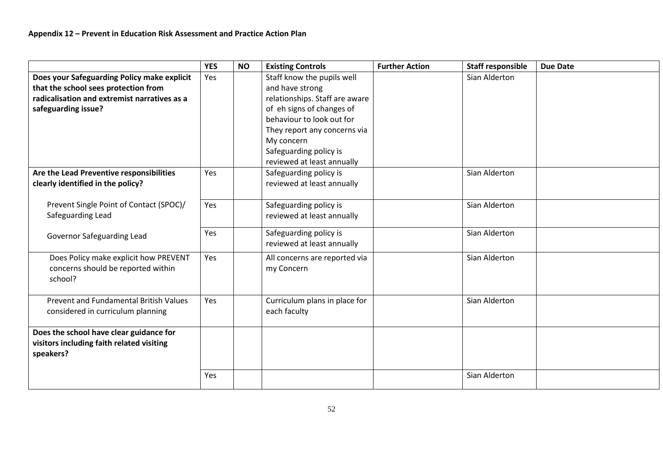<span id="page-51-0"></span>

|                                              | <b>YES</b> | <b>NO</b> | <b>Existing Controls</b>       | <b>Further Action</b> | <b>Staff responsible</b> | <b>Due Date</b> |
|----------------------------------------------|------------|-----------|--------------------------------|-----------------------|--------------------------|-----------------|
| Does your Safeguarding Policy make explicit  | Yes        |           | Staff know the pupils well     |                       | Sian Alderton            |                 |
| that the school sees protection from         |            |           | and have strong                |                       |                          |                 |
| radicalisation and extremist narratives as a |            |           | relationships. Staff are aware |                       |                          |                 |
| safeguarding issue?                          |            |           | of eh signs of changes of      |                       |                          |                 |
|                                              |            |           | behaviour to look out for      |                       |                          |                 |
|                                              |            |           | They report any concerns via   |                       |                          |                 |
|                                              |            |           | My concern                     |                       |                          |                 |
|                                              |            |           | Safeguarding policy is         |                       |                          |                 |
|                                              |            |           | reviewed at least annually     |                       |                          |                 |
| Are the Lead Preventive responsibilities     | Yes        |           | Safeguarding policy is         |                       | Sian Alderton            |                 |
| clearly identified in the policy?            |            |           | reviewed at least annually     |                       |                          |                 |
|                                              |            |           |                                |                       |                          |                 |
| Prevent Single Point of Contact (SPOC)/      | Yes        |           | Safeguarding policy is         |                       | Sian Alderton            |                 |
| Safeguarding Lead                            |            |           | reviewed at least annually     |                       |                          |                 |
|                                              | Yes        |           | Safeguarding policy is         |                       | Sian Alderton            |                 |
| Governor Safeguarding Lead                   |            |           | reviewed at least annually     |                       |                          |                 |
|                                              |            |           |                                |                       |                          |                 |
| Does Policy make explicit how PREVENT        | Yes        |           | All concerns are reported via  |                       | Sian Alderton            |                 |
| concerns should be reported within           |            |           | my Concern                     |                       |                          |                 |
| school?                                      |            |           |                                |                       |                          |                 |
| Prevent and Fundamental British Values       | Yes        |           | Curriculum plans in place for  |                       | Sian Alderton            |                 |
| considered in curriculum planning            |            |           | each faculty                   |                       |                          |                 |
|                                              |            |           |                                |                       |                          |                 |
| Does the school have clear guidance for      |            |           |                                |                       |                          |                 |
| visitors including faith related visiting    |            |           |                                |                       |                          |                 |
| speakers?                                    |            |           |                                |                       |                          |                 |
|                                              |            |           |                                |                       |                          |                 |
|                                              | <b>Yes</b> |           |                                |                       | Sian Alderton            |                 |
|                                              |            |           |                                |                       |                          |                 |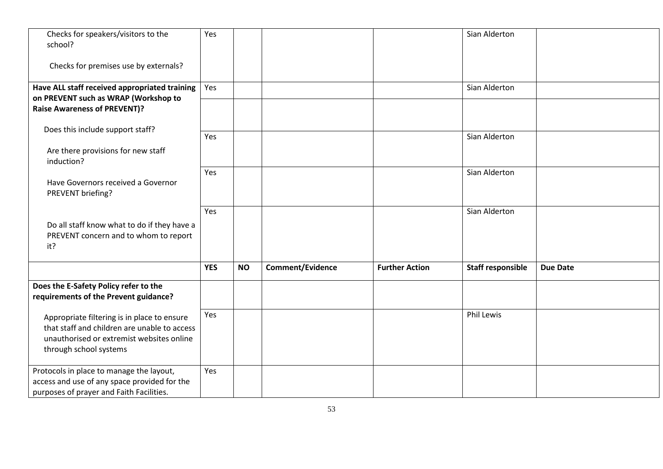| Checks for speakers/visitors to the<br>school?                                                                                                                     | Yes        |           |                         |                       | Sian Alderton            |                 |
|--------------------------------------------------------------------------------------------------------------------------------------------------------------------|------------|-----------|-------------------------|-----------------------|--------------------------|-----------------|
| Checks for premises use by externals?                                                                                                                              |            |           |                         |                       |                          |                 |
| Have ALL staff received appropriated training                                                                                                                      | Yes        |           |                         |                       | Sian Alderton            |                 |
| on PREVENT such as WRAP (Workshop to<br><b>Raise Awareness of PREVENT)?</b>                                                                                        |            |           |                         |                       |                          |                 |
| Does this include support staff?                                                                                                                                   | Yes        |           |                         |                       | Sian Alderton            |                 |
| Are there provisions for new staff<br>induction?                                                                                                                   |            |           |                         |                       |                          |                 |
| Have Governors received a Governor<br>PREVENT briefing?                                                                                                            | Yes        |           |                         |                       | Sian Alderton            |                 |
| Do all staff know what to do if they have a<br>PREVENT concern and to whom to report<br>it?                                                                        | Yes        |           |                         |                       | Sian Alderton            |                 |
|                                                                                                                                                                    | <b>YES</b> | <b>NO</b> | <b>Comment/Evidence</b> | <b>Further Action</b> | <b>Staff responsible</b> | <b>Due Date</b> |
| Does the E-Safety Policy refer to the<br>requirements of the Prevent guidance?                                                                                     |            |           |                         |                       |                          |                 |
| Appropriate filtering is in place to ensure<br>that staff and children are unable to access<br>unauthorised or extremist websites online<br>through school systems | Yes        |           |                         |                       | Phil Lewis               |                 |
| Protocols in place to manage the layout,<br>access and use of any space provided for the<br>purposes of prayer and Faith Facilities.                               | Yes        |           |                         |                       |                          |                 |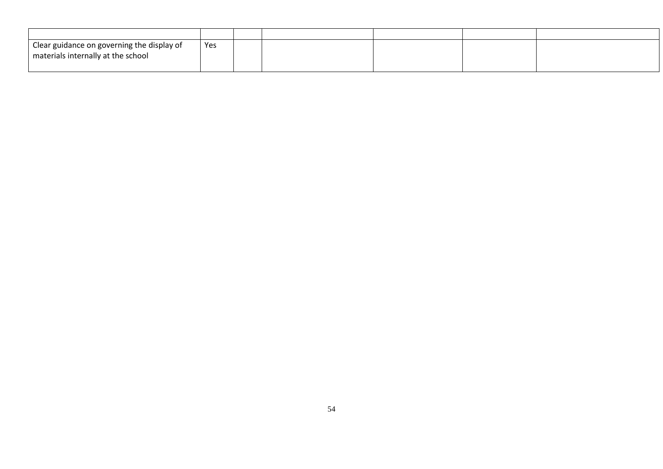| Clear guidance on governing the display of<br>materials internally at the school | Yes |  |  |  |
|----------------------------------------------------------------------------------|-----|--|--|--|
|                                                                                  |     |  |  |  |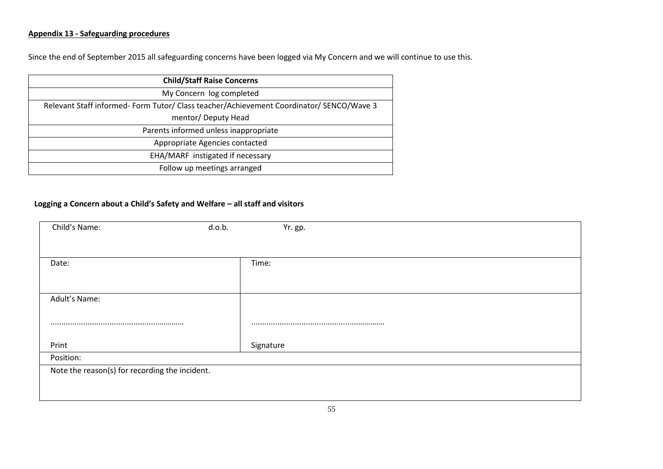## **Appendix 13 - Safeguarding procedures**

Since the end of September 2015 all safeguarding concerns have been logged via My Concern and we will continue to use this.

| <b>Child/Staff Raise Concerns</b>                                                       |
|-----------------------------------------------------------------------------------------|
| My Concern log completed                                                                |
| Relevant Staff informed-Form Tutor/ Class teacher/Achievement Coordinator/ SENCO/Wave 3 |
| mentor/ Deputy Head                                                                     |
| Parents informed unless inappropriate                                                   |
| Appropriate Agencies contacted                                                          |
| EHA/MARF instigated if necessary                                                        |
| Follow up meetings arranged                                                             |

#### **Logging a Concern about a Child's Safety and Welfare – all staff and visitors**

| Child's Name:                                  | d.o.b.<br>Yr. gp. |
|------------------------------------------------|-------------------|
|                                                |                   |
| Date:                                          | Time:             |
|                                                |                   |
| Adult's Name:                                  |                   |
|                                                |                   |
| Print                                          | Signature         |
| Position:                                      |                   |
| Note the reason(s) for recording the incident. |                   |